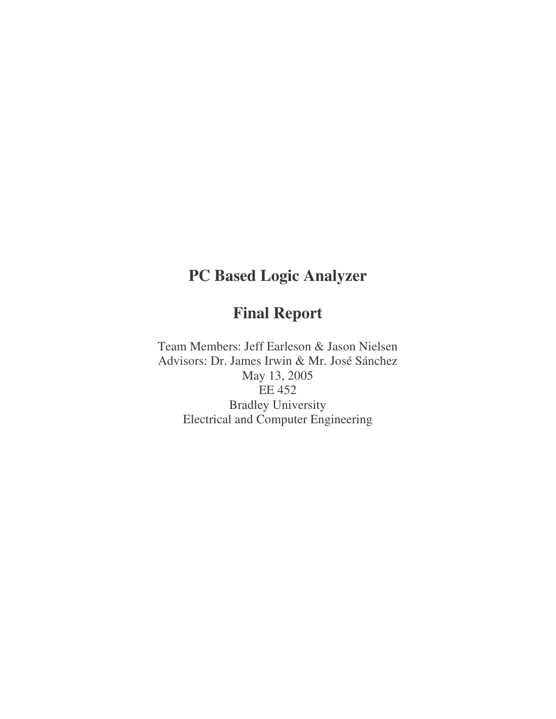# **PC Based Logic Analyzer**

## **Final Report**

Team Members: Jeff Earleson & Jason Nielsen Advisors: Dr. James Irwin & Mr. José Sánchez May 13, 2005 EE 452 Bradley University Electrical and Computer Engineering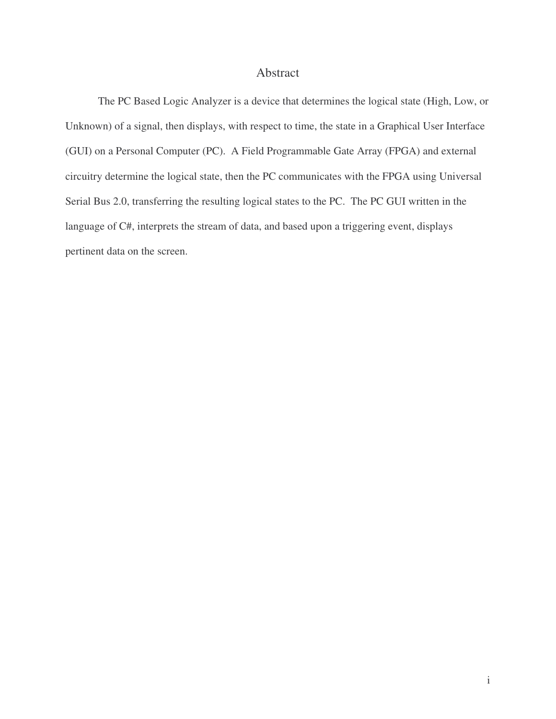#### Abstract

The PC Based Logic Analyzer is a device that determines the logical state (High, Low, or Unknown) of a signal, then displays, with respect to time, the state in a Graphical User Interface (GUI) on a Personal Computer (PC). A Field Programmable Gate Array (FPGA) and external circuitry determine the logical state, then the PC communicates with the FPGA using Universal Serial Bus 2.0, transferring the resulting logical states to the PC. The PC GUI written in the language of C#, interprets the stream of data, and based upon a triggering event, displays pertinent data on the screen.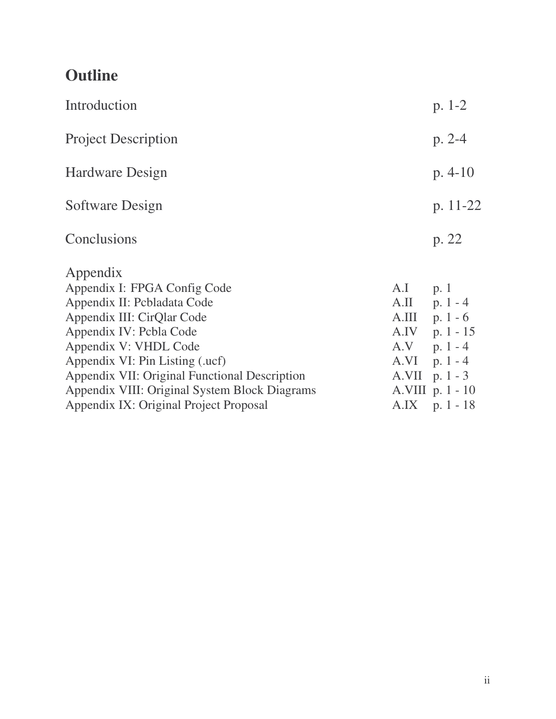# **Outline**

| $p. 1-2$           |
|--------------------|
| $p. 2-4$           |
| $p. 4-10$          |
| p. $11-22$         |
| p. 22              |
|                    |
|                    |
| $A.II$ p. 1 - 4    |
| $A.III$ p. 1 - 6   |
| $A.IV$ p. 1 - 15   |
| $A.V$ p. 1 - 4     |
| $A.VI$ p. 1 - 4    |
| $A.VII$ p. 1 - 3   |
| $A.VIII$ p. 1 - 10 |
| $A.IX$ p. 1 - 18   |
| $A.I$ p. 1         |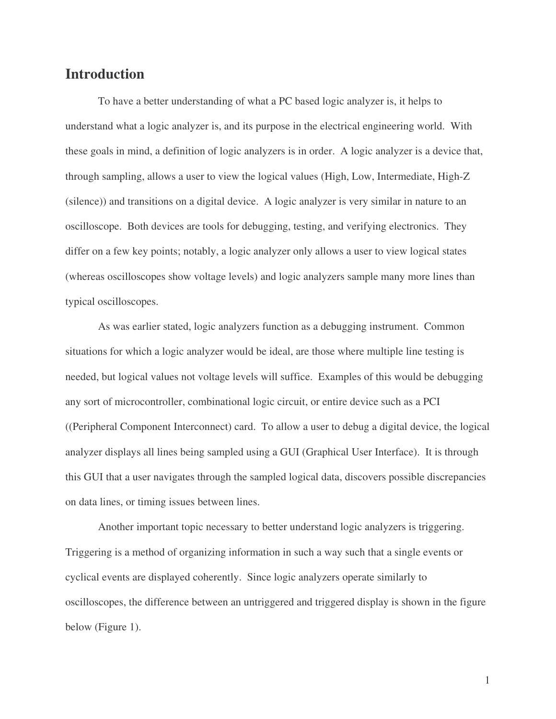## **Introduction**

To have a better understanding of what a PC based logic analyzer is, it helps to understand what a logic analyzer is, and its purpose in the electrical engineering world. With these goals in mind, a definition of logic analyzers is in order. A logic analyzer is a device that, through sampling, allows a user to view the logical values (High, Low, Intermediate, High-Z (silence)) and transitions on a digital device. A logic analyzer is very similar in nature to an oscilloscope. Both devices are tools for debugging, testing, and verifying electronics. They differ on a few key points; notably, a logic analyzer only allows a user to view logical states (whereas oscilloscopes show voltage levels) and logic analyzers sample many more lines than typical oscilloscopes.

As was earlier stated, logic analyzers function as a debugging instrument. Common situations for which a logic analyzer would be ideal, are those where multiple line testing is needed, but logical values not voltage levels will suffice. Examples of this would be debugging any sort of microcontroller, combinational logic circuit, or entire device such as a PCI ((Peripheral Component Interconnect) card. To allow a user to debug a digital device, the logical analyzer displays all lines being sampled using a GUI (Graphical User Interface). It is through this GUI that a user navigates through the sampled logical data, discovers possible discrepancies on data lines, or timing issues between lines.

Another important topic necessary to better understand logic analyzers is triggering. Triggering is a method of organizing information in such a way such that a single events or cyclical events are displayed coherently. Since logic analyzers operate similarly to oscilloscopes, the difference between an untriggered and triggered display is shown in the figure below (Figure 1).

1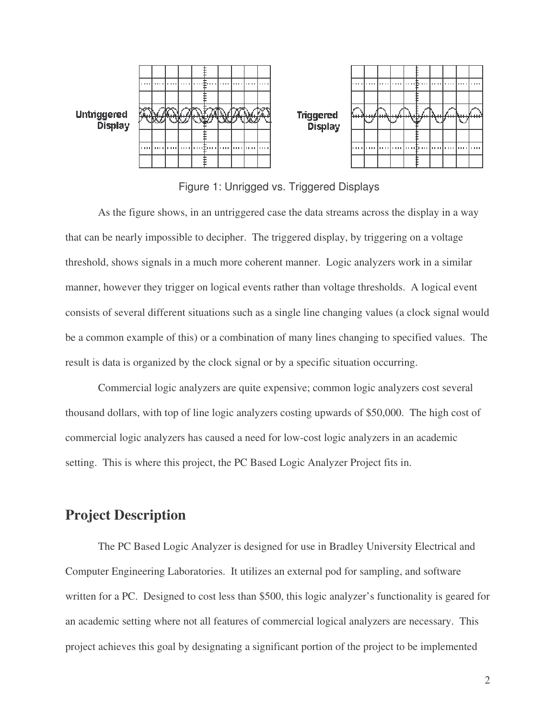

Figure 1: Unrigged vs. Triggered Displays

As the figure shows, in an untriggered case the data streams across the display in a way that can be nearly impossible to decipher. The triggered display, by triggering on a voltage threshold, shows signals in a much more coherent manner. Logic analyzers work in a similar manner, however they trigger on logical events rather than voltage thresholds. A logical event consists of several different situations such as a single line changing values (a clock signal would be a common example of this) or a combination of many lines changing to specified values. The result is data is organized by the clock signal or by a specific situation occurring.

Commercial logic analyzers are quite expensive; common logic analyzers cost several thousand dollars, with top of line logic analyzers costing upwards of \$50,000. The high cost of commercial logic analyzers has caused a need for low-cost logic analyzers in an academic setting. This is where this project, the PC Based Logic Analyzer Project fits in.

## **Project Description**

The PC Based Logic Analyzer is designed for use in Bradley University Electrical and Computer Engineering Laboratories. It utilizes an external pod for sampling, and software written for a PC. Designed to cost less than \$500, this logic analyzer's functionality is geared for an academic setting where not all features of commercial logical analyzers are necessary. This project achieves this goal by designating a significant portion of the project to be implemented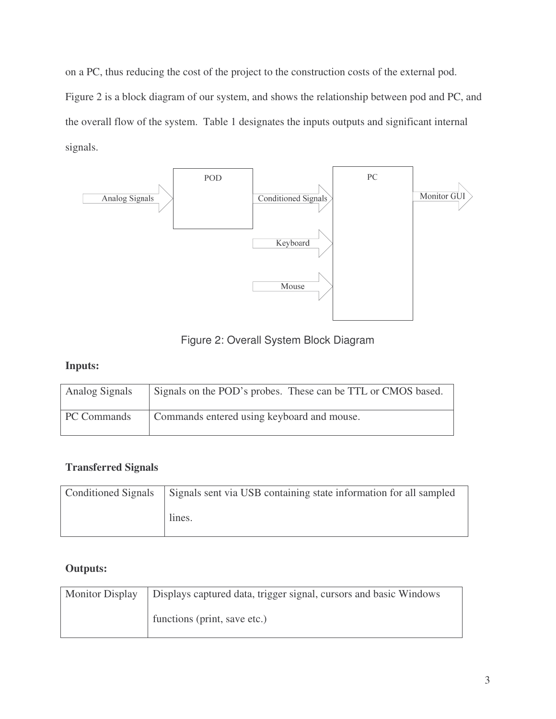on a PC, thus reducing the cost of the project to the construction costs of the external pod. Figure 2 is a block diagram of our system, and shows the relationship between pod and PC, and the overall flow of the system. Table 1 designates the inputs outputs and significant internal signals.



Figure 2: Overall System Block Diagram

## **Inputs:**

| <b>Analog Signals</b> | Signals on the POD's probes. These can be TTL or CMOS based. |
|-----------------------|--------------------------------------------------------------|
| PC Commands           | Commands entered using keyboard and mouse.                   |

## **Transferred Signals**

| Conditioned Signals Signals sent via USB containing state information for all sampled |  |  |
|---------------------------------------------------------------------------------------|--|--|
| lines.                                                                                |  |  |

## **Outputs:**

| Monitor Display   Displays captured data, trigger signal, cursors and basic Windows |
|-------------------------------------------------------------------------------------|
| functions (print, save etc.)                                                        |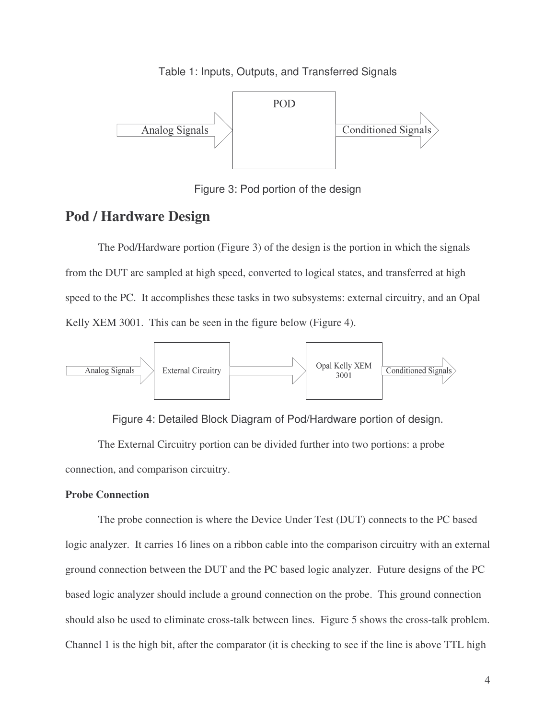Table 1: Inputs, Outputs, and Transferred Signals



Figure 3: Pod portion of the design

## **Pod / Hardware Design**

The Pod/Hardware portion (Figure 3) of the design is the portion in which the signals from the DUT are sampled at high speed, converted to logical states, and transferred at high speed to the PC. It accomplishes these tasks in two subsystems: external circuitry, and an Opal Kelly XEM 3001. This can be seen in the figure below (Figure 4).



Figure 4: Detailed Block Diagram of Pod/Hardware portion of design.

The External Circuitry portion can be divided further into two portions: a probe connection, and comparison circuitry.

#### **Probe Connection**

The probe connection is where the Device Under Test (DUT) connects to the PC based logic analyzer. It carries 16 lines on a ribbon cable into the comparison circuitry with an external ground connection between the DUT and the PC based logic analyzer. Future designs of the PC based logic analyzer should include a ground connection on the probe. This ground connection should also be used to eliminate cross-talk between lines. Figure 5 shows the cross-talk problem. Channel 1 is the high bit, after the comparator (it is checking to see if the line is above TTL high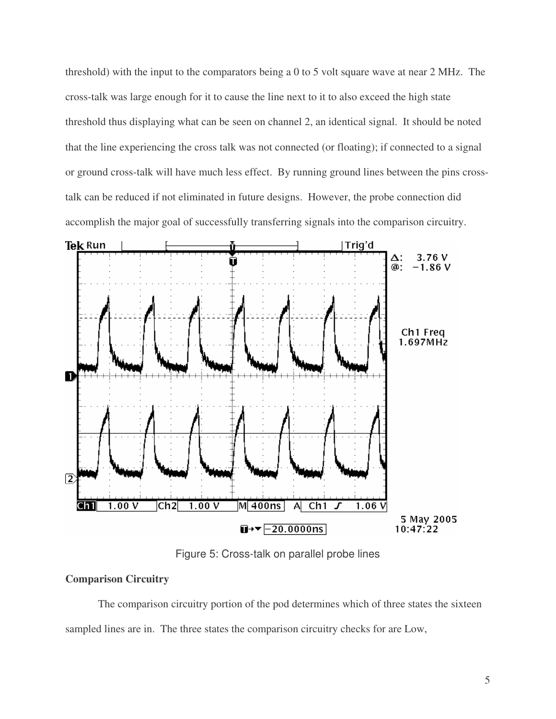threshold) with the input to the comparators being a 0 to 5 volt square wave at near 2 MHz. The cross-talk was large enough for it to cause the line next to it to also exceed the high state threshold thus displaying what can be seen on channel 2, an identical signal. It should be noted that the line experiencing the cross talk was not connected (or floating); if connected to a signal or ground cross-talk will have much less effect. By running ground lines between the pins crosstalk can be reduced if not eliminated in future designs. However, the probe connection did accomplish the major goal of successfully transferring signals into the comparison circuitry.



Figure 5: Cross-talk on parallel probe lines

#### **Comparison Circuitry**

The comparison circuitry portion of the pod determines which of three states the sixteen sampled lines are in. The three states the comparison circuitry checks for are Low,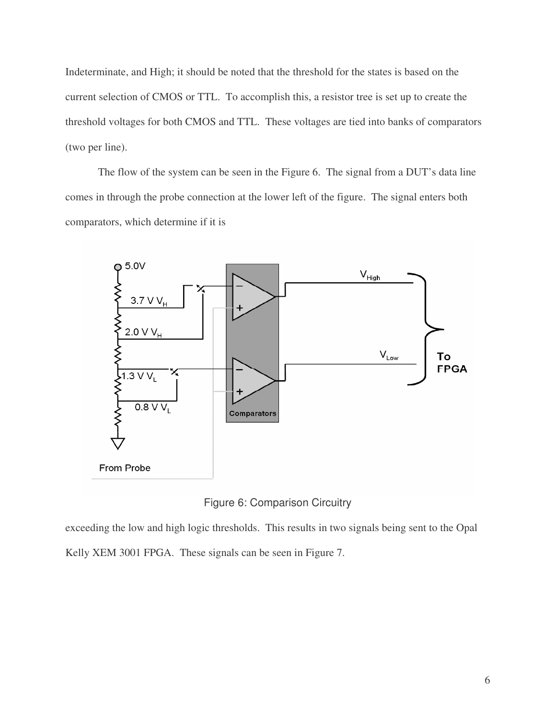Indeterminate, and High; it should be noted that the threshold for the states is based on the current selection of CMOS or TTL. To accomplish this, a resistor tree is set up to create the threshold voltages for both CMOS and TTL. These voltages are tied into banks of comparators (two per line).

The flow of the system can be seen in the Figure 6. The signal from a DUT's data line comes in through the probe connection at the lower left of the figure. The signal enters both comparators, which determine if it is





exceeding the low and high logic thresholds. This results in two signals being sent to the Opal Kelly XEM 3001 FPGA. These signals can be seen in Figure 7.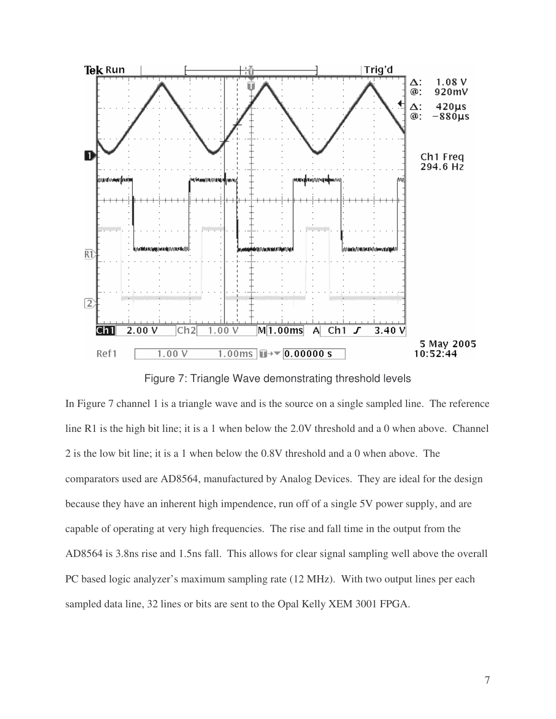

Figure 7: Triangle Wave demonstrating threshold levels

In Figure 7 channel 1 is a triangle wave and is the source on a single sampled line. The reference line R1 is the high bit line; it is a 1 when below the 2.0V threshold and a 0 when above. Channel 2 is the low bit line; it is a 1 when below the 0.8V threshold and a 0 when above. The comparators used are AD8564, manufactured by Analog Devices. They are ideal for the design because they have an inherent high impendence, run off of a single 5V power supply, and are capable of operating at very high frequencies. The rise and fall time in the output from the AD8564 is 3.8ns rise and 1.5ns fall. This allows for clear signal sampling well above the overall PC based logic analyzer's maximum sampling rate (12 MHz). With two output lines per each sampled data line, 32 lines or bits are sent to the Opal Kelly XEM 3001 FPGA.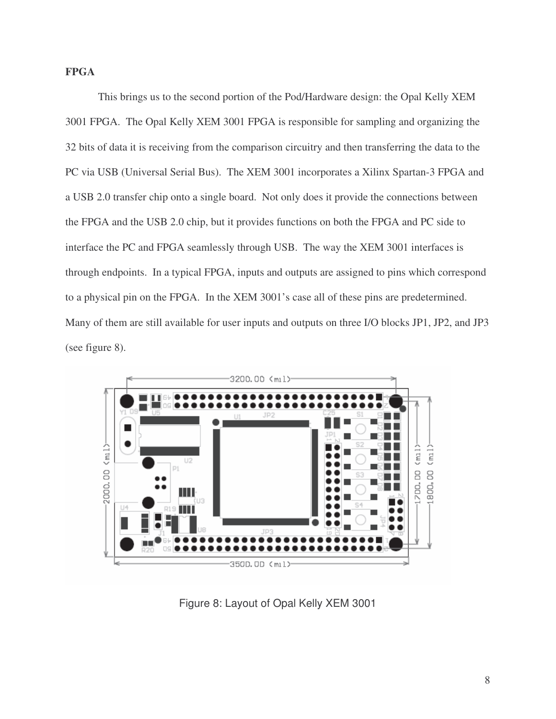#### **FPGA**

This brings us to the second portion of the Pod/Hardware design: the Opal Kelly XEM 3001 FPGA. The Opal Kelly XEM 3001 FPGA is responsible for sampling and organizing the 32 bits of data it is receiving from the comparison circuitry and then transferring the data to the PC via USB (Universal Serial Bus). The XEM 3001 incorporates a Xilinx Spartan-3 FPGA and a USB 2.0 transfer chip onto a single board. Not only does it provide the connections between the FPGA and the USB 2.0 chip, but it provides functions on both the FPGA and PC side to interface the PC and FPGA seamlessly through USB. The way the XEM 3001 interfaces is through endpoints. In a typical FPGA, inputs and outputs are assigned to pins which correspond to a physical pin on the FPGA. In the XEM 3001's case all of these pins are predetermined. Many of them are still available for user inputs and outputs on three I/O blocks JP1, JP2, and JP3 (see figure 8).



Figure 8: Layout of Opal Kelly XEM 3001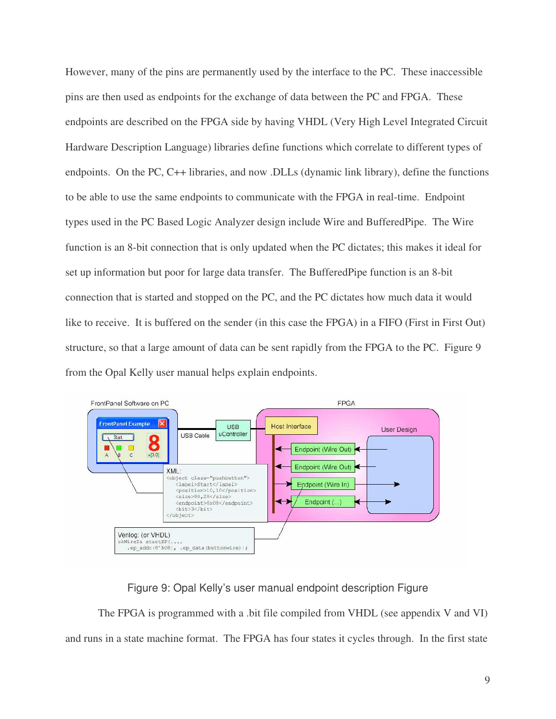However, many of the pins are permanently used by the interface to the PC. These inaccessible pins are then used as endpoints for the exchange of data between the PC and FPGA. These endpoints are described on the FPGA side by having VHDL (Very High Level Integrated Circuit Hardware Description Language) libraries define functions which correlate to different types of endpoints. On the PC, C++ libraries, and now .DLLs (dynamic link library), define the functions to be able to use the same endpoints to communicate with the FPGA in real-time. Endpoint types used in the PC Based Logic Analyzer design include Wire and BufferedPipe. The Wire function is an 8-bit connection that is only updated when the PC dictates; this makes it ideal for set up information but poor for large data transfer. The BufferedPipe function is an 8-bit connection that is started and stopped on the PC, and the PC dictates how much data it would like to receive. It is buffered on the sender (in this case the FPGA) in a FIFO (First in First Out) structure, so that a large amount of data can be sent rapidly from the FPGA to the PC. Figure 9 from the Opal Kelly user manual helps explain endpoints.



#### Figure 9: Opal Kelly's user manual endpoint description Figure

The FPGA is programmed with a .bit file compiled from VHDL (see appendix V and VI) and runs in a state machine format. The FPGA has four states it cycles through. In the first state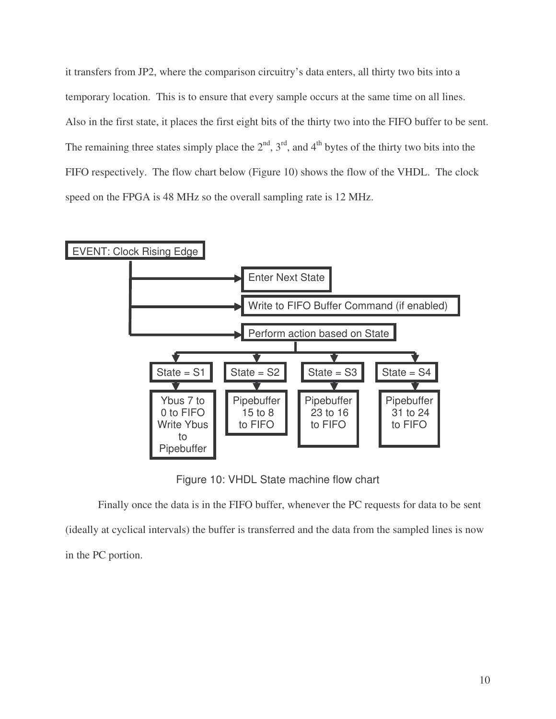it transfers from JP2, where the comparison circuitry's data enters, all thirty two bits into a temporary location. This is to ensure that every sample occurs at the same time on all lines. Also in the first state, it places the first eight bits of the thirty two into the FIFO buffer to be sent. The remaining three states simply place the  $2<sup>nd</sup>$ ,  $3<sup>rd</sup>$ , and  $4<sup>th</sup>$  bytes of the thirty two bits into the FIFO respectively. The flow chart below (Figure 10) shows the flow of the VHDL. The clock speed on the FPGA is 48 MHz so the overall sampling rate is 12 MHz.



Figure 10: VHDL State machine flow chart

Finally once the data is in the FIFO buffer, whenever the PC requests for data to be sent (ideally at cyclical intervals) the buffer is transferred and the data from the sampled lines is now in the PC portion.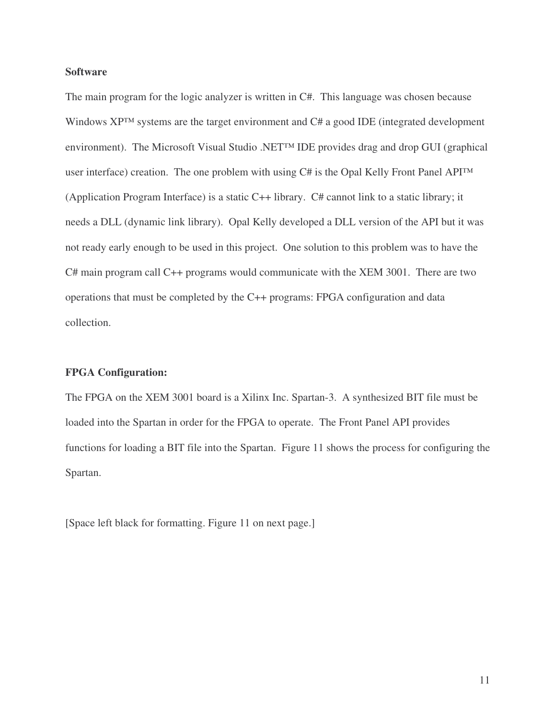#### **Software**

The main program for the logic analyzer is written in C#. This language was chosen because Windows XP™ systems are the target environment and C# a good IDE (integrated development environment). The Microsoft Visual Studio .NET™ IDE provides drag and drop GUI (graphical user interface) creation. The one problem with using C# is the Opal Kelly Front Panel API™ (Application Program Interface) is a static C++ library. C# cannot link to a static library; it needs a DLL (dynamic link library). Opal Kelly developed a DLL version of the API but it was not ready early enough to be used in this project. One solution to this problem was to have the C# main program call C++ programs would communicate with the XEM 3001. There are two operations that must be completed by the C++ programs: FPGA configuration and data collection.

#### **FPGA Configuration:**

The FPGA on the XEM 3001 board is a Xilinx Inc. Spartan-3. A synthesized BIT file must be loaded into the Spartan in order for the FPGA to operate. The Front Panel API provides functions for loading a BIT file into the Spartan. Figure 11 shows the process for configuring the Spartan.

[Space left black for formatting. Figure 11 on next page.]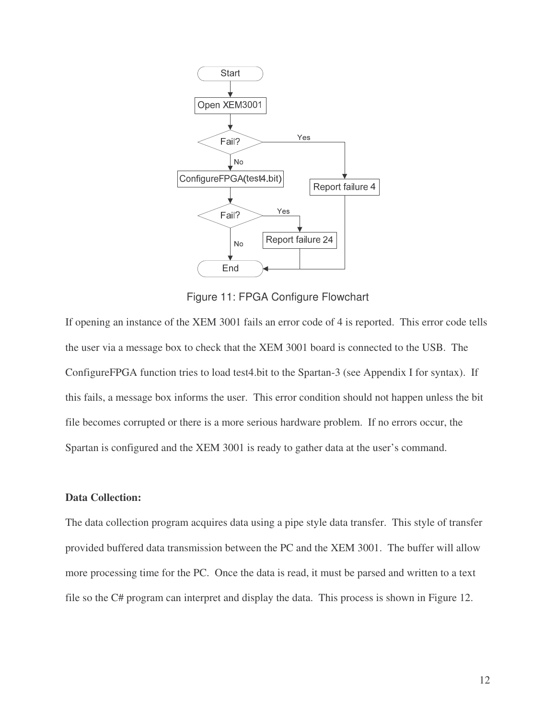

Figure 11: FPGA Configure Flowchart

If opening an instance of the XEM 3001 fails an error code of 4 is reported. This error code tells the user via a message box to check that the XEM 3001 board is connected to the USB. The ConfigureFPGA function tries to load test4.bit to the Spartan-3 (see Appendix I for syntax). If this fails, a message box informs the user. This error condition should not happen unless the bit file becomes corrupted or there is a more serious hardware problem. If no errors occur, the Spartan is configured and the XEM 3001 is ready to gather data at the user's command.

#### **Data Collection:**

The data collection program acquires data using a pipe style data transfer. This style of transfer provided buffered data transmission between the PC and the XEM 3001. The buffer will allow more processing time for the PC. Once the data is read, it must be parsed and written to a text file so the C# program can interpret and display the data. This process is shown in Figure 12.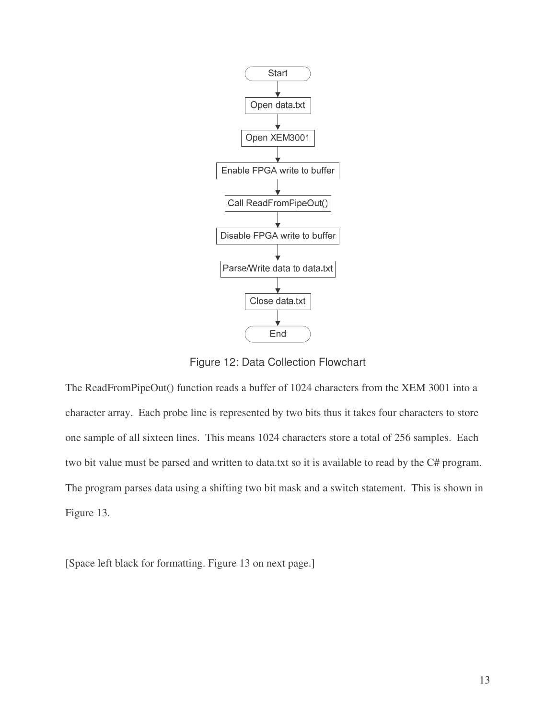

Figure 12: Data Collection Flowchart

The ReadFromPipeOut() function reads a buffer of 1024 characters from the XEM 3001 into a character array. Each probe line is represented by two bits thus it takes four characters to store one sample of all sixteen lines. This means 1024 characters store a total of 256 samples. Each two bit value must be parsed and written to data.txt so it is available to read by the C# program. The program parses data using a shifting two bit mask and a switch statement. This is shown in Figure 13.

[Space left black for formatting. Figure 13 on next page.]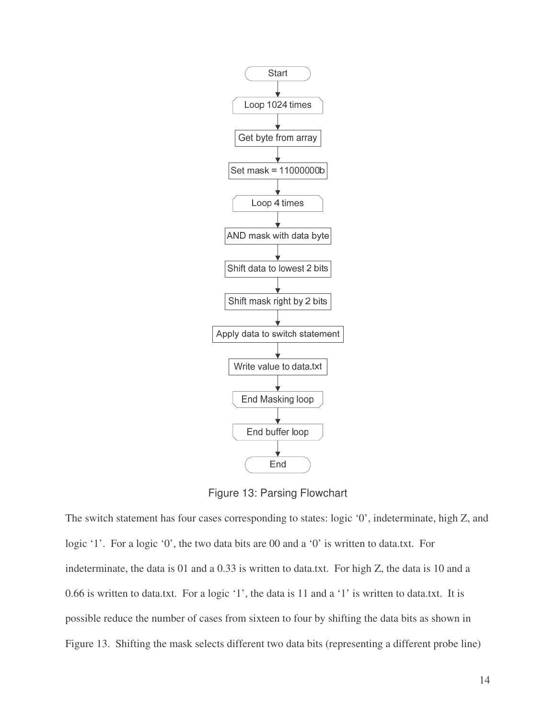

Figure 13: Parsing Flowchart

The switch statement has four cases corresponding to states: logic '0', indeterminate, high Z, and logic '1'. For a logic '0', the two data bits are 00 and a '0' is written to data.txt. For indeterminate, the data is 01 and a 0.33 is written to data.txt. For high Z, the data is 10 and a 0.66 is written to data.txt. For a logic '1', the data is 11 and a '1' is written to data.txt. It is possible reduce the number of cases from sixteen to four by shifting the data bits as shown in Figure 13. Shifting the mask selects different two data bits (representing a different probe line)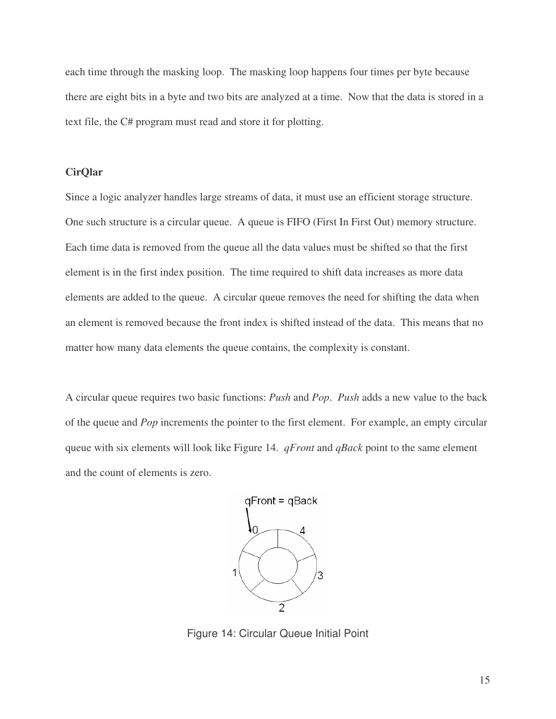each time through the masking loop. The masking loop happens four times per byte because there are eight bits in a byte and two bits are analyzed at a time. Now that the data is stored in a text file, the C# program must read and store it for plotting.

#### **CirQlar**

Since a logic analyzer handles large streams of data, it must use an efficient storage structure. One such structure is a circular queue. A queue is FIFO (First In First Out) memory structure. Each time data is removed from the queue all the data values must be shifted so that the first element is in the first index position. The time required to shift data increases as more data elements are added to the queue. A circular queue removes the need for shifting the data when an element is removed because the front index is shifted instead of the data. This means that no matter how many data elements the queue contains, the complexity is constant.

A circular queue requires two basic functions: *Push* and *Pop*. *Push* adds a new value to the back of the queue and *Pop* increments the pointer to the first element. For example, an empty circular queue with six elements will look like Figure 14. *qFront* and *qBack* point to the same element and the count of elements is zero.



Figure 14: Circular Queue Initial Point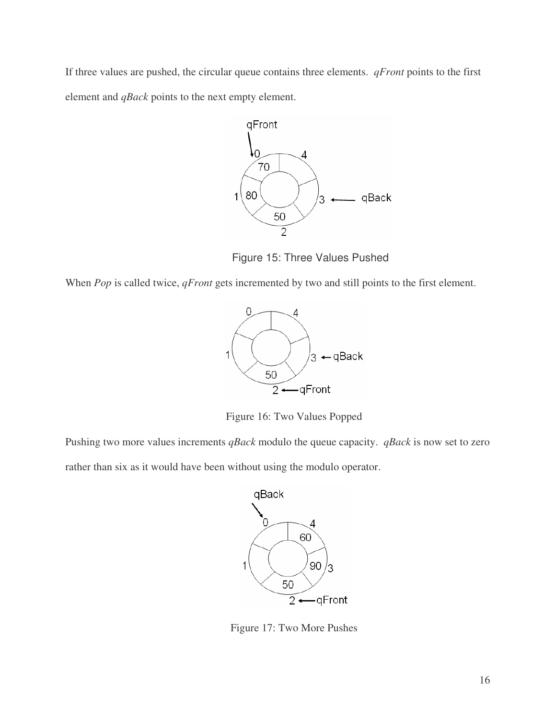If three values are pushed, the circular queue contains three elements. *qFront* points to the first element and *qBack* points to the next empty element.



Figure 15: Three Values Pushed

When *Pop* is called twice, *qFront* gets incremented by two and still points to the first element.



Figure 16: Two Values Popped

Pushing two more values increments *qBack* modulo the queue capacity. *qBack* is now set to zero

rather than six as it would have been without using the modulo operator.



Figure 17: Two More Pushes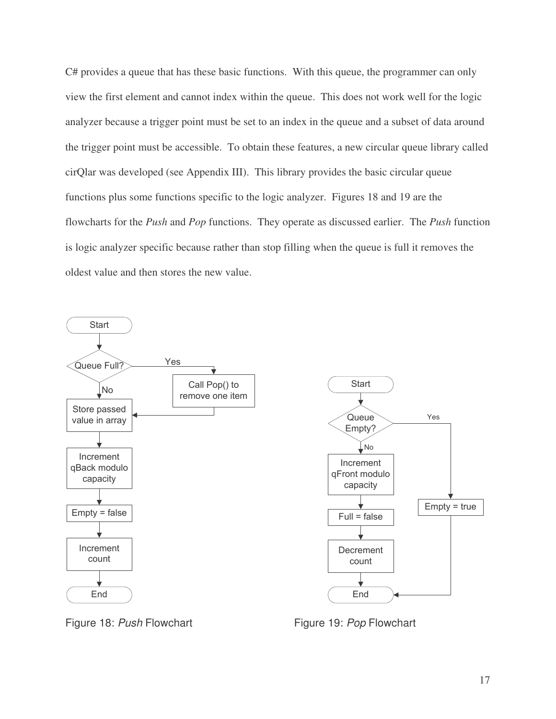C# provides a queue that has these basic functions. With this queue, the programmer can only view the first element and cannot index within the queue. This does not work well for the logic analyzer because a trigger point must be set to an index in the queue and a subset of data around the trigger point must be accessible. To obtain these features, a new circular queue library called cirQlar was developed (see Appendix III). This library provides the basic circular queue functions plus some functions specific to the logic analyzer. Figures 18 and 19 are the flowcharts for the *Push* and *Pop* functions. They operate as discussed earlier. The *Push* function is logic analyzer specific because rather than stop filling when the queue is full it removes the oldest value and then stores the new value.





Figure 18: *Push* Flowchart Figure 19: *Pop* Flowchart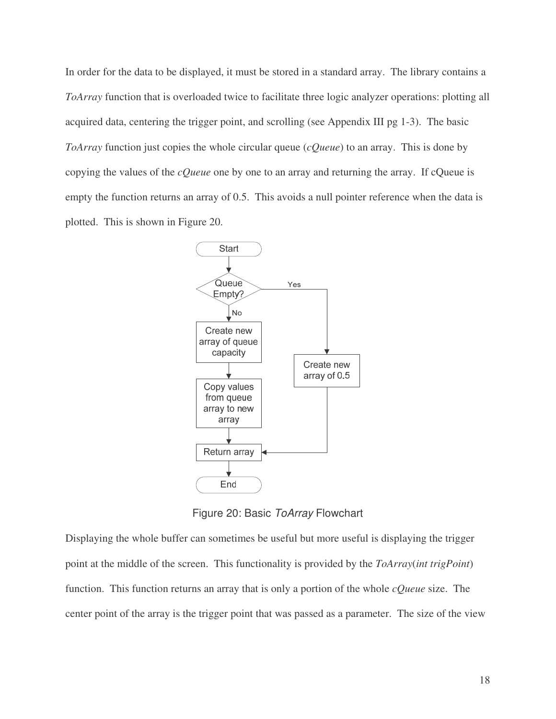In order for the data to be displayed, it must be stored in a standard array. The library contains a *ToArray* function that is overloaded twice to facilitate three logic analyzer operations: plotting all acquired data, centering the trigger point, and scrolling (see Appendix III pg 1-3). The basic *ToArray* function just copies the whole circular queue (*cQueue*) to an array. This is done by copying the values of the *cQueue* one by one to an array and returning the array. If cQueue is empty the function returns an array of 0.5. This avoids a null pointer reference when the data is plotted. This is shown in Figure 20.



Figure 20: Basic *ToArray* Flowchart

Displaying the whole buffer can sometimes be useful but more useful is displaying the trigger point at the middle of the screen. This functionality is provided by the *ToArray*(*int trigPoint*) function. This function returns an array that is only a portion of the whole *cQueue* size. The center point of the array is the trigger point that was passed as a parameter. The size of the view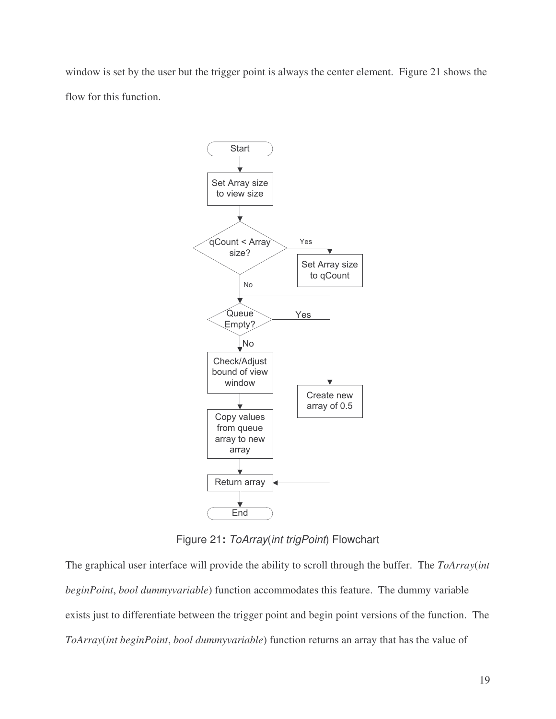window is set by the user but the trigger point is always the center element. Figure 21 shows the flow for this function.



Figure 21**:** *ToArray*(*int trigPoint*) Flowchart

The graphical user interface will provide the ability to scroll through the buffer. The *ToArray*(*int beginPoint*, *bool dummyvariable*) function accommodates this feature. The dummy variable exists just to differentiate between the trigger point and begin point versions of the function. The *ToArray*(*int beginPoint*, *bool dummyvariable*) function returns an array that has the value of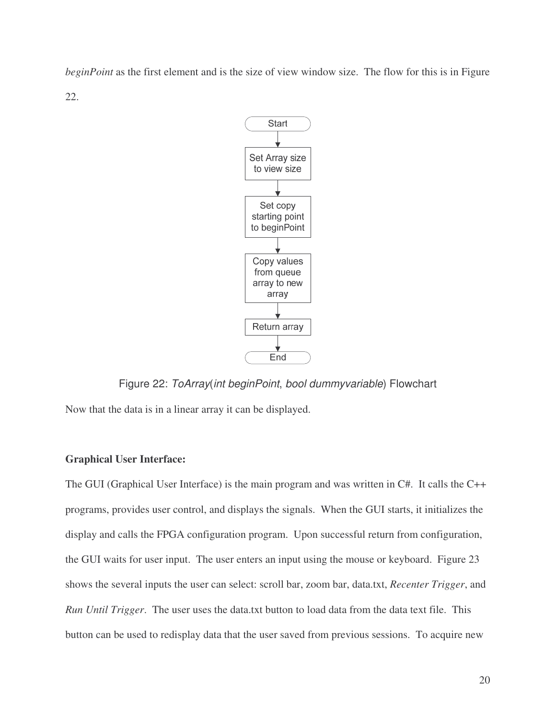*beginPoint* as the first element and is the size of view window size. The flow for this is in Figure 22.



Figure 22: *ToArray*(*int beginPoint*, *bool dummyvariable*) Flowchart

Now that the data is in a linear array it can be displayed.

#### **Graphical User Interface:**

The GUI (Graphical User Interface) is the main program and was written in C#. It calls the C++ programs, provides user control, and displays the signals. When the GUI starts, it initializes the display and calls the FPGA configuration program. Upon successful return from configuration, the GUI waits for user input. The user enters an input using the mouse or keyboard. Figure 23 shows the several inputs the user can select: scroll bar, zoom bar, data.txt, *Recenter Trigger*, and *Run Until Trigger*. The user uses the data.txt button to load data from the data text file. This button can be used to redisplay data that the user saved from previous sessions. To acquire new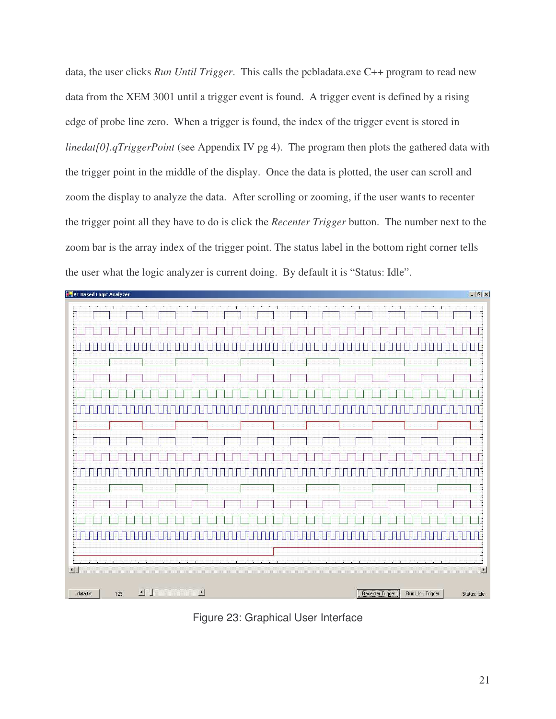data, the user clicks *Run Until Trigger*. This calls the pcbladata.exe C++ program to read new data from the XEM 3001 until a trigger event is found. A trigger event is defined by a rising edge of probe line zero. When a trigger is found, the index of the trigger event is stored in *linedat[0].qTriggerPoint* (see Appendix IV pg 4). The program then plots the gathered data with the trigger point in the middle of the display. Once the data is plotted, the user can scroll and zoom the display to analyze the data. After scrolling or zooming, if the user wants to recenter the trigger point all they have to do is click the *Recenter Trigger* button. The number next to the zoom bar is the array index of the trigger point. The status label in the bottom right corner tells the user what the logic analyzer is current doing. By default it is "Status: Idle".



Figure 23: Graphical User Interface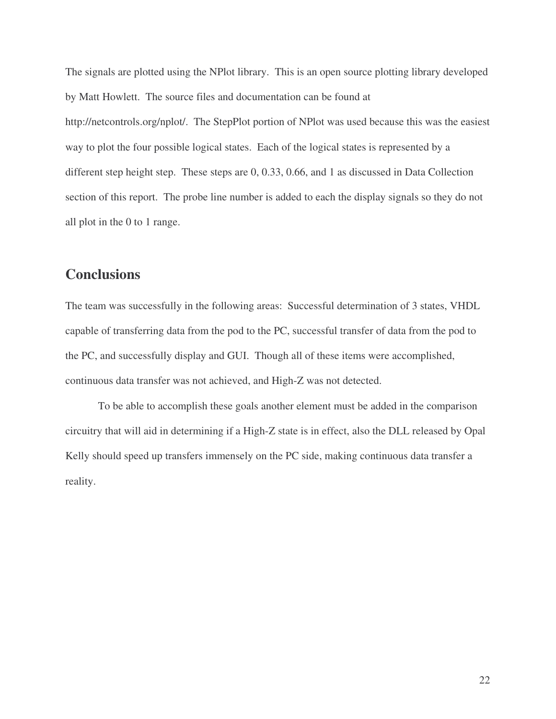The signals are plotted using the NPlot library. This is an open source plotting library developed by Matt Howlett. The source files and documentation can be found at http://netcontrols.org/nplot/. The StepPlot portion of NPlot was used because this was the easiest way to plot the four possible logical states. Each of the logical states is represented by a different step height step. These steps are 0, 0.33, 0.66, and 1 as discussed in Data Collection section of this report. The probe line number is added to each the display signals so they do not all plot in the 0 to 1 range.

## **Conclusions**

The team was successfully in the following areas: Successful determination of 3 states, VHDL capable of transferring data from the pod to the PC, successful transfer of data from the pod to the PC, and successfully display and GUI. Though all of these items were accomplished, continuous data transfer was not achieved, and High-Z was not detected.

To be able to accomplish these goals another element must be added in the comparison circuitry that will aid in determining if a High-Z state is in effect, also the DLL released by Opal Kelly should speed up transfers immensely on the PC side, making continuous data transfer a reality.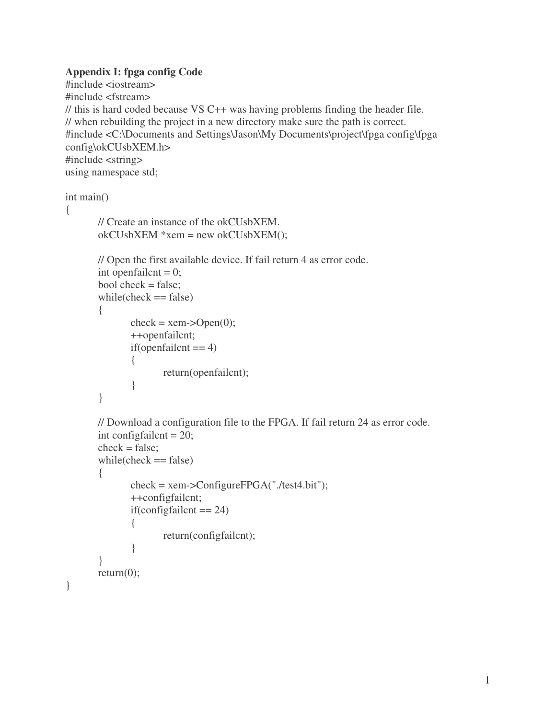#### **Appendix I: fpga config Code**

```
#include <iostream>
#include <fstream>
// this is hard coded because VS C++ was having problems finding the header file.
// when rebuilding the project in a new directory make sure the path is correct.
#include <C:\Documents and Settings\Jason\My Documents\project\fpga config\fpga
config\okCUsbXEM.h>
#include <string>
using namespace std;
```

```
int main()
```

```
{
```
}

```
// Create an instance of the okCUsbXEM.
okCUsbXEM *xem = new okCUsbXEM();
// Open the first available device. If fail return 4 as error code.
int openfailcnt = 0;
bool check = false;
while(check == false)
{
       check = xem->Open(0);++openfailcnt;
       if(openfailcnt == 4){
               return(openfailcnt);
       }
}
// Download a configuration file to the FPGA. If fail return 24 as error code.
int configfailcnt = 20;
check = false;
while(check == false)
{
       check = xem->ConfigureFPGA("./test4.bit");
       ++configfailcnt;
       if(configfailcnt == 24)
       {
               return(configfailcnt);
       }
}
return(0);
```
1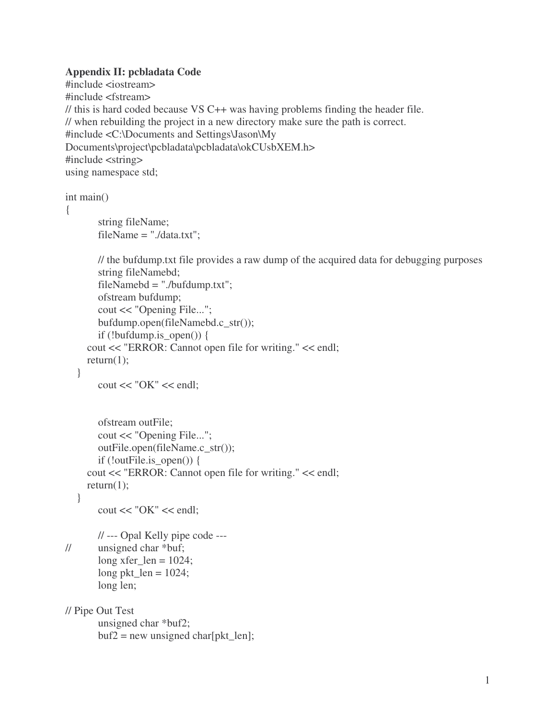#### **Appendix II: pcbladata Code**

```
#include <iostream>
#include <fstream>
// this is hard coded because VS C++ was having problems finding the header file.
// when rebuilding the project in a new directory make sure the path is correct.
#include <C:\Documents and Settings\Jason\My
Documents\project\pcbladata\pcbladata\okCUsbXEM.h>
#include <string>
using namespace std;
```

```
int main()
```

```
{
```

```
string fileName;
fileName = ". / data.txt":
```

```
// the bufdump.txt file provides a raw dump of the acquired data for debugging purposes
string fileNamebd;
```

```
fileNamebd = "./bufdump.txt";ofstream bufdump;
  cout << "Opening File...";
  bufdump.open(fileNamebd.c_str());
  if (!bufdump.is open()) {
cout << "ERROR: Cannot open file for writing." << endl;
return(1);
```

```
}
```

```
\text{cout} \ll \text{"OK"} \ll \text{endl};
```

```
ofstream outFile;
    cout << "Opening File...";
    outFile.open(fileName.c_str());
    if (!outFile.is open()) {
  cout << "ERROR: Cannot open file for writing." << endl;
  return(1):
}
```

```
\text{cout} \ll \text{"OK"} \ll \text{endl};
```

```
// --- Opal Kelly pipe code ---
// unsigned char *buf;
       long xfer len = 1024;
       long pkt_len = 1024;
       long len;
```

```
// Pipe Out Test
       unsigned char *buf2;
       buf2 = new unsigned char[plt\_len];
```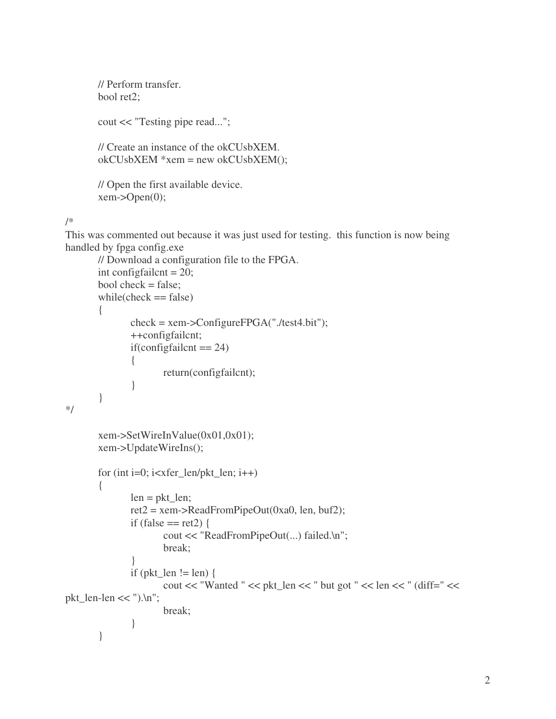```
// Perform transfer.
bool ret2;
cout << "Testing pipe read...";
// Create an instance of the okCUsbXEM.
okCUsbXEM *xem = new okCUsbXEM();
// Open the first available device.
xem-\geqOpen(0);
```
#### /\*

This was commented out because it was just used for testing. this function is now being handled by fpga config.exe

```
// Download a configuration file to the FPGA.
       int configfailcnt = 20;
       bool check = false;
       while(check == false)
       {
               check = xem->ConfigureFPGA("./test4.bit");
               ++configfailcnt;
               if(configfailcnt == 24)
               {
                      return(configfailcnt);
               }
       }
*/
       xem->SetWireInValue(0x01,0x01);
       xem->UpdateWireIns();
       for (int i=0; i < x fer_len/pkt_len; i++)
       {
               len = \text{pkt\_len};ret2 = xem->ReadFromPipeOut(0xa0, len, buf2);
               if (false == ret2) {
                      cout << "ReadFromPipeOut(...) failed.\n";
                      break;
               }
               if (pkt_len != len) {
                      cout << "Wanted " << pkt_len << " but got " << len << " (diff=" <<
pkt_len-len << ").\ln";
                      break;
               }
       }
```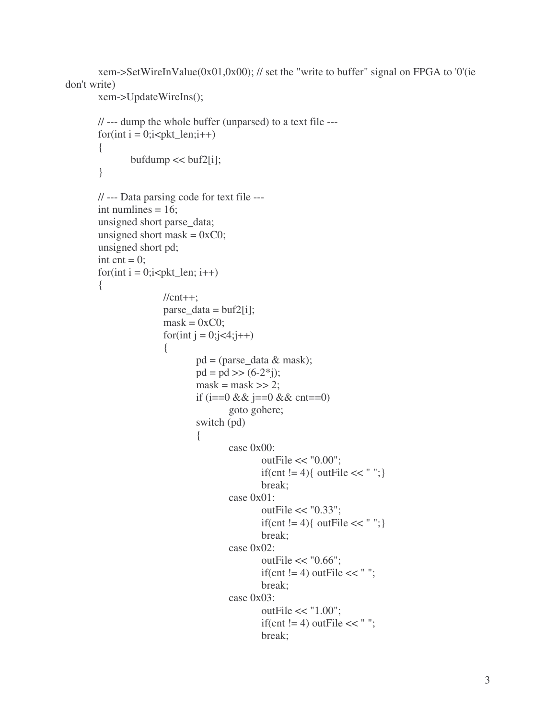xem->SetWireInValue(0x01,0x00); // set the "write to buffer" signal on FPGA to '0'(ie don't write)

```
xem->UpdateWireIns();
```

```
// --- dump the whole buffer (unparsed) to a text file ---
for(int i = 0;i<pkt_len;i++)
{
       bufdump \ll buf2[i];}
// --- Data parsing code for text file ---
int numlines = 16;
unsigned short parse_data;
unsigned short mask = 0xC0;
unsigned short pd;
int cnt = 0;
for(int i = 0;i < pkt_len; i + +)
{
               //cnt++;parse_data = buf2[i];
               mask = 0xCO;for(int j = 0;j<4;j++)
               {
                       pd = (parse_data & mask);pd = pd \gg (6-2<sup>*</sup>i);\text{mask} = \text{mask} >> 2;if (i==0 && j==0 && cnt==0)
                               goto gohere;
                       switch (pd)
                       {
                               case 0x00:
                                       outFile << "0.00";
                                       if(cnt != 4){ outFile << " ";}
                                       break;
                               case 0x01:
                                       outFile << "0.33";
                                       if(cnt != 4){ outFile << " ";}
                                       break;
                               case 0x02:
                                       outFile << "0.66";
                                       if(cnt != 4) outFile << " ";
                                       break;
                               case 0x03:
                                       outFile << "1.00";
                                       if(cnt != 4) outFile << " ";
                                       break;
```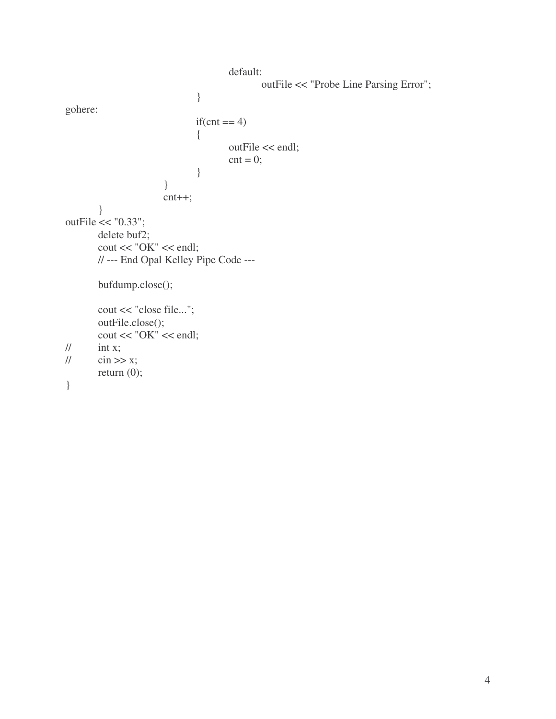```
default:
                                                    outFile << "Probe Line Parsing Error";
                                   }
gohere:
                                   if(cnt == 4)
                                   {
                                           outFile << endl;
                                            \text{cnt} = 0;
                                   }
                          }
                          cnt++;
         }
outFile << "0.33";
        delete buf2;
        \text{cout} \ll \text{"OK"} \ll \text{endl};// --- End Opal Kelley Pipe Code ---
        bufdump.close();
        cout << "close file...";
        outFile.close();
        \text{cout} \ll \text{"OK"} \ll \text{endl};\frac{1}{\pi} int x;
// \text{cin} \gg x;
        return (0);
}
```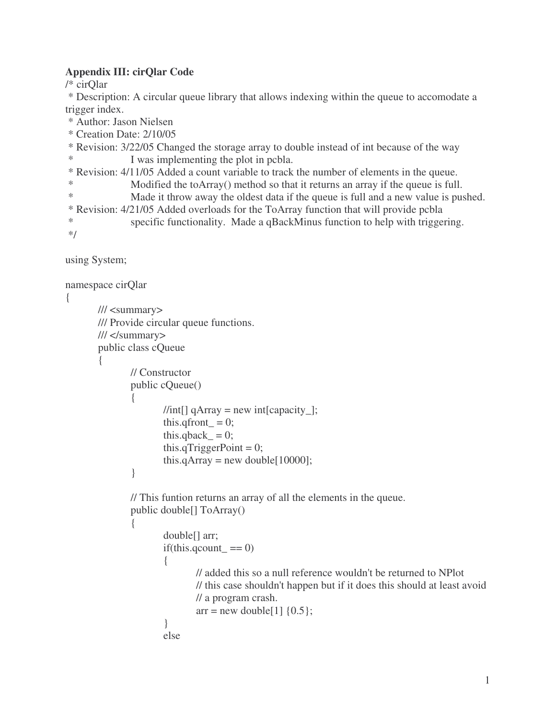### **Appendix III: cirQlar Code**

/\* cirQlar

\* Description: A circular queue library that allows indexing within the queue to accomodate a trigger index.

\* Author: Jason Nielsen

\* Creation Date: 2/10/05

\* Revision: 3/22/05 Changed the storage array to double instead of int because of the way \* I was implementing the plot in pcbla.

\* Revision: 4/11/05 Added a count variable to track the number of elements in the queue.

\* Modified the toArray() method so that it returns an array if the queue is full.

\* Made it throw away the oldest data if the queue is full and a new value is pushed. \* Revision: 4/21/05 Added overloads for the ToArray function that will provide pcbla \* specific functionality. Made a qBackMinus function to help with triggering. \*/

using System;

{

```
namespace cirQlar
       /// <summary>
       /// Provide circular queue functions.
       /// </summary>
       public class cQueue
       {
               // Constructor
               public cQueue()
               {
                      //int[] qArray = new\ int[capacity];
                      this.qfront = 0;
                      this.qback = 0;
                      this.qTriggerPoint = 0;
                      this.qArray = new double[10000];
               }
               // This funtion returns an array of all the elements in the queue.
               public double[] ToArray()
               {
                      double[] arr;
                      if(this.qcount_ == 0){
                              // added this so a null reference wouldn't be returned to NPlot
                              // this case shouldn't happen but if it does this should at least avoid
                              // a program crash.
```

```
arr = new double[1] \{0.5\};
```

```
else
```
}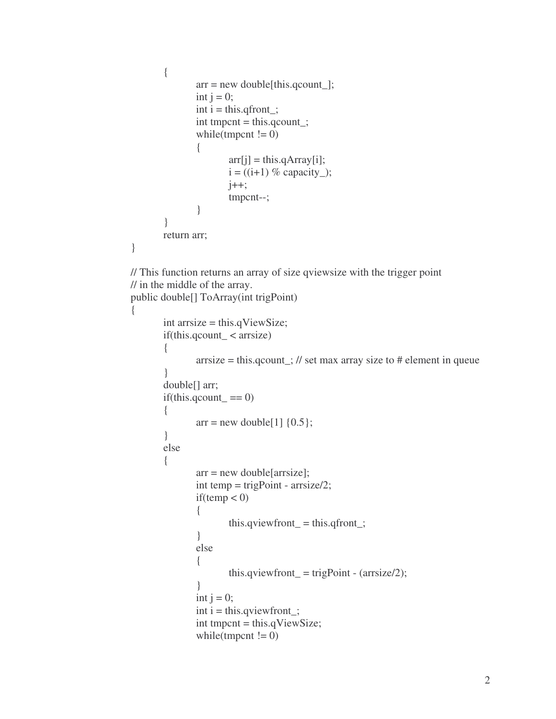```
{
                arr = new double[this.qcount_];
                int j = 0;
                \text{int } i = \text{this}.q \text{front};
                \text{int tmpent} = \text{this.qcount};
                while(tmpcnt != 0)
                 {
                         arr[j] = this.qArray[i];i = ((i+1) \% capacity_);
                         j++;tmpcnt--;
                }
        }
        return arr;
}
// This function returns an array of size qviewsize with the trigger point
// in the middle of the array.
public double[] ToArray(int trigPoint)
{
        int arrsize = this.qViewSize;
        if(this.qcount_ < arrsize)
        {
                arrsize = this.qcount; // set max array size to # element in queue
        }
        double[] arr;
        if(this.qcount_ == 0){
                arr = new double[1] \{0.5\};}
        else
        {
                arr = new double[arrsize];int temp = trigPoint - arrsize/2;
                if(temp < 0)
                {
                         this.qviewfront_ = this.qfront_;
                }
                else
                 {
                         this.qviewfront = trigPoint - (arrsize/2);
                 }
                int j = 0;
                \text{int } i = \text{this}. quivalent<sub>;</sub>
                int tmpcnt = this.qViewSize;
                while(tmpcnt != 0)
```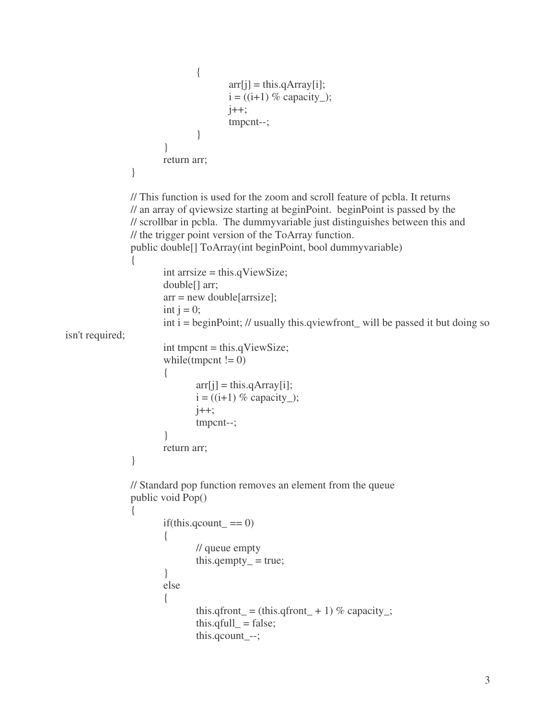```
{
                                      arr[i] = this.qArray[i];i = ((i+1) % capacity_);
                                      j++;
                                      tmpcnt--;
                               }
                       }
                       return arr;
               }
               // This function is used for the zoom and scroll feature of pcbla. It returns
               // an array of qviewsize starting at beginPoint. beginPoint is passed by the
               // scrollbar in pcbla. The dummyvariable just distinguishes between this and
               // the trigger point version of the ToArray function.
               public double[] ToArray(int beginPoint, bool dummyvariable)
               {
                       int arrsize = this.qViewSize;
                       double[] arr;
                       arr = new double[arrsize];
                       int j = 0;
                       int i = beginPoint; // usually this.qviewfront_will be passed it but doing so
isn't required;
                       int tmpcnt = this.qViewSize;
                       while(tmpcnt != 0)
                       {
                              \ar[r][] = \text{this.qArray}[i];i = ((i+1) \% capacity_);
                              i++;
                              tmpcnt--;
                       }
                       return arr;
               }
               // Standard pop function removes an element from the queue
               public void Pop()
               {
                       if(this.qcount_ == 0){
                              // queue empty
                               this.qempty_ = true;
                       }
                       else
                       {
                               this.qfront_ = (this.qfront_ + 1) % capacity_;
                               this.qfull_ = false;
                               this.qcount_--;
```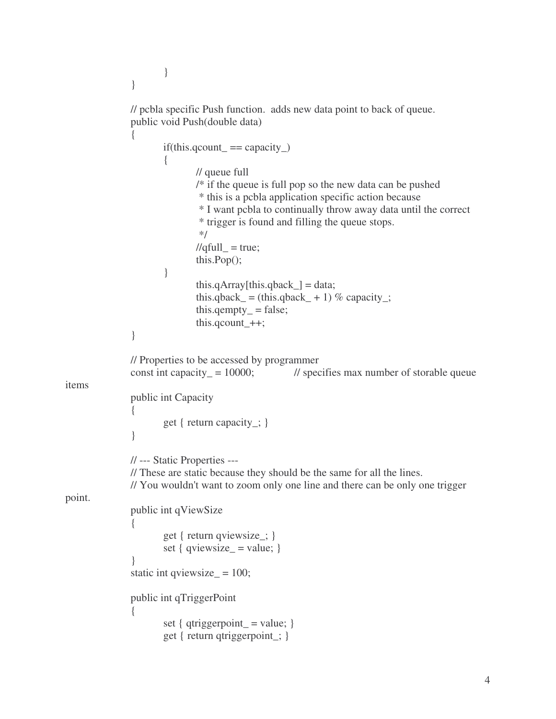```
}
               }
               // pcbla specific Push function. adds new data point to back of queue.
               public void Push(double data)
               {
                      if(this.qcount_\_ == capacity_\_){
                              // queue full
                              /* if the queue is full pop so the new data can be pushed
                               * this is a pcbla application specific action because
                               * I want pcbla to continually throw away data until the correct
                               * trigger is found and filling the queue stops.
                               */
                              \ell//qfull_ = true;
                              this.Pop();
                       }
                              this.qArray[this.qback_] = data;
                              this.qback_ = (this.qback_ + 1) % capacity_;
                              this.qempty= false;
                              this.qcount_++;
               }
               // Properties to be accessed by programmer
               const int capacity = 10000; // specifies max number of storable queue
items
               public int Capacity
               {
                      get { return capacity_; }
               }
               // --- Static Properties ---
               // These are static because they should be the same for all the lines.
               // You wouldn't want to zoom only one line and there can be only one trigger
point.
               public int qViewSize
               {
                      get { return qviewsize_; }
                      set { qviewsize = value; }
               }
               static int qviewsize= 100;
               public int qTriggerPoint
               {
                      set { qtriggerpoint = value; }
                      get { return qtriggerpoint_; }
```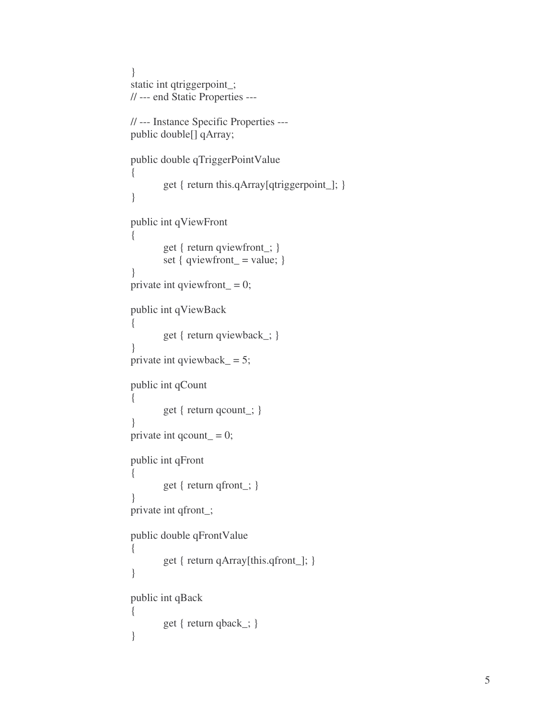```
}<br>static int qtriggerpoint_;
// --- end Static Properties ---
// --- Instance Specific Properties ---
public double<sup>[]</sup> qArray;
public double qTriggerPointValue
{
        get { return this.qArray[qtriggerpoint_]; }
}p
 ublic int qViewFront
{
        get { return qviewfront_; }
        set { qviewfront = value; }
}<br>private int qviewfront_ = 0;
public int qViewBack
{
        get { return qviewback_; }
}<br>private int qviewback_ = 5;
public int qCount
{
        get { return qcount_; }
}<br>private int qcount_ = 0;
public int qFront
{
        get { return qfront_; }
}<br>private int qfront_;
public double qFrontValue
{
        get { return qArray[this.qfront_]; }
}p
 ublic int qBack
{
        get { return qback_; }
}
```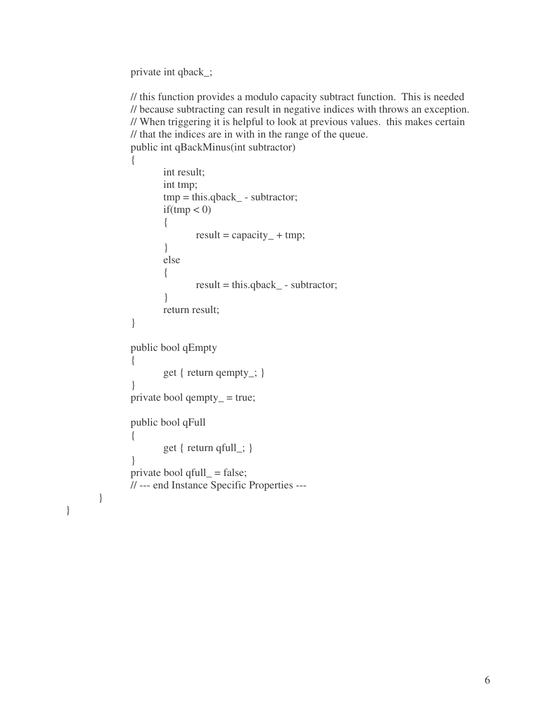private int qback\_;

}

}

// this function provides a modulo capacity subtract function. This is needed // because subtracting can result in negative indices with throws an exception. // When triggering it is helpful to look at previous values. this makes certain // that the indices are in with in the range of the queue. public int qBackMinus(int subtractor)

```
{
        int result;
       int tmp;
        tmp = this.qback_ - subtraction;if(tmp < 0)
        {
               result = capacity _+ + tmp;
        }
        else
        {
               result = this.qback_ - subtractor;
        }
        return result;
}
public bool qEmpty
{
       get { return qempty_; }
}
private bool qempty= true;
public bool qFull
{
       get { return qfull_; }
}
private bool qfull_ = false;
// --- end Instance Specific Properties ---
```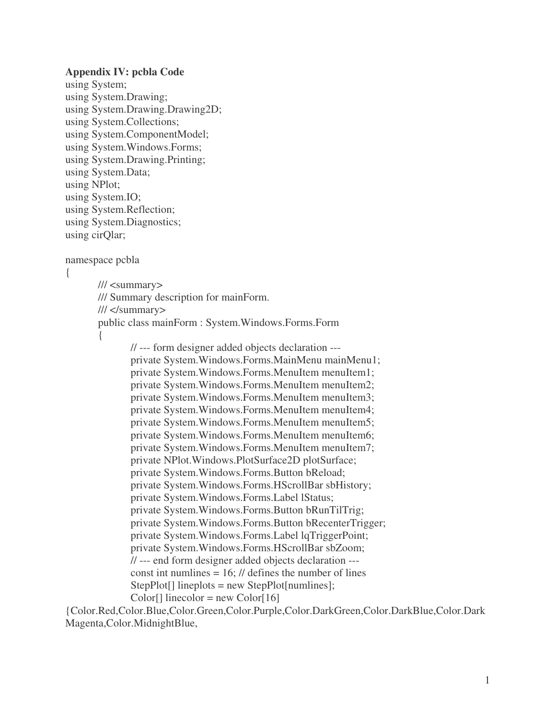#### **Appendix IV: pcbla Code**

using System; using System.Drawing; using System.Drawing.Drawing2D; using System.Collections; using System.ComponentModel; using System.Windows.Forms; using System.Drawing.Printing; using System.Data; using NPlot; using System.IO; using System.Reflection; using System.Diagnostics; using cirQlar;

namespace pcbla

```
{
```
/// <summary> /// Summary description for mainForm. /// </summary> public class mainForm : System.Windows.Forms.Form

{

// --- form designer added objects declaration -- private System.Windows.Forms.MainMenu mainMenu1; private System.Windows.Forms.MenuItem menuItem1; private System.Windows.Forms.MenuItem menuItem2; private System.Windows.Forms.MenuItem menuItem3; private System.Windows.Forms.MenuItem menuItem4; private System.Windows.Forms.MenuItem menuItem5; private System.Windows.Forms.MenuItem menuItem6; private System.Windows.Forms.MenuItem menuItem7; private NPlot.Windows.PlotSurface2D plotSurface; private System.Windows.Forms.Button bReload; private System.Windows.Forms.HScrollBar sbHistory; private System.Windows.Forms.Label lStatus; private System.Windows.Forms.Button bRunTilTrig; private System.Windows.Forms.Button bRecenterTrigger; private System.Windows.Forms.Label lqTriggerPoint; private System.Windows.Forms.HScrollBar sbZoom; // --- end form designer added objects declaration -- const int numlines  $= 16$ ; // defines the number of lines StepPlot[] lineplots = new StepPlot[numlines];  $Color[] linear = new Color[16]$ 

{Color.Red,Color.Blue,Color.Green,Color.Purple,Color.DarkGreen,Color.DarkBlue,Color.Dark Magenta,Color.MidnightBlue,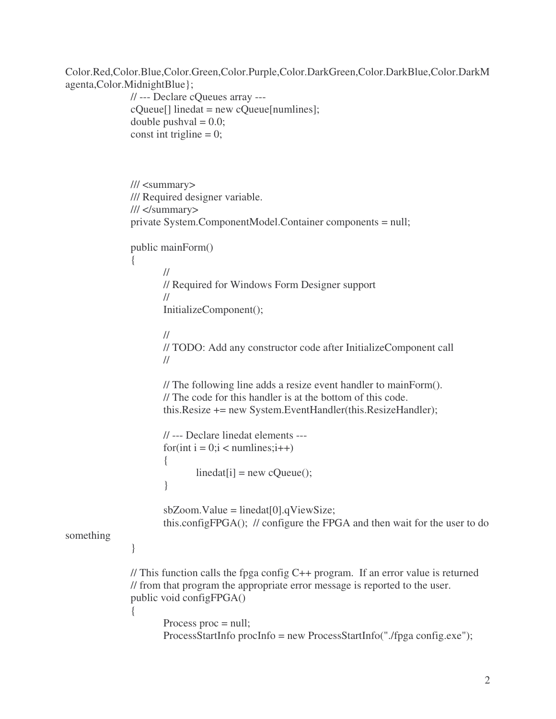Color.Red,Color.Blue,Color.Green,Color.Purple,Color.DarkGreen,Color.DarkBlue,Color.DarkM agenta,Color.MidnightBlue};

```
// --- Declare cQueues array ---
              cQueue[] linedat = new cQueue[numlines];
              double pushval = 0.0;
              const int trigline = 0;
              /// <summary>
              /// Required designer variable.
              /// </summary>
              private System.ComponentModel.Container components = null;
              public mainForm()
               {
                      //
                     // Required for Windows Form Designer support
                      //
                      InitializeComponent();
                     //
                     // TODO: Add any constructor code after InitializeComponent call
                     //
                      // The following line adds a resize event handler to mainForm().
                      // The code for this handler is at the bottom of this code.
                      this.Resize += new System.EventHandler(this.ResizeHandler);
                      // --- Declare linedat elements ---
                      for(int i = 0;i < numlines;i++)
                      {
                             linear[i] = new cQueue();}
                      sbZoom.Value = linedat[0].qViewSize;this.configFPGA(); // configure the FPGA and then wait for the user to do
something
              }
              // This function calls the fpga config C++ program. If an error value is returned
              // from that program the appropriate error message is reported to the user.
              public void configFPGA()
              {
                      Process proc = null;
                      ProcessStartInfo procInfo = new ProcessStartInfo("./fpga config.exe");
```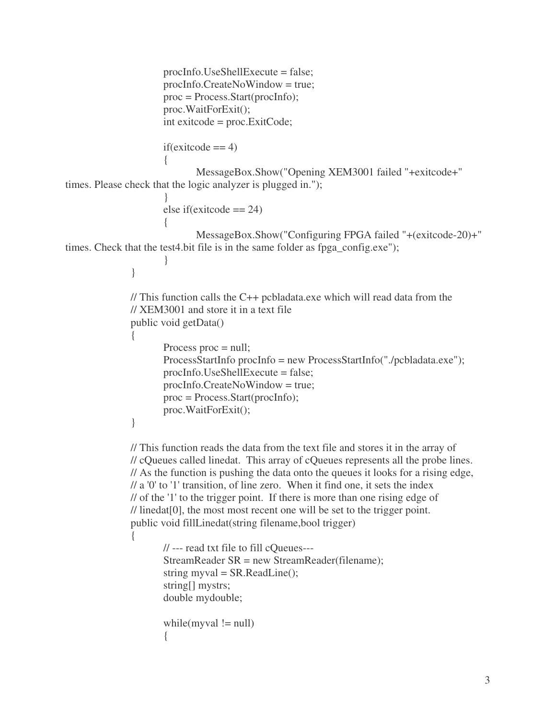```
procInfo.UseShellExecute = false;
                      procInfo.CreateNoWindow = true;
                      proc = Process.Start(procInfo);
                      proc.WaitForExit();
                      int exitcode = proc.ExitCode;
                      if(exitcode == 4){
                              MessageBox.Show("Opening XEM3001 failed "+exitcode+"
times. Please check that the logic analyzer is plugged in.");
                       }
                      else if(exitcode == 24)
                       {
                              MessageBox.Show("Configuring FPGA failed "+(exitcode-20)+"
times. Check that the test4.bit file is in the same folder as fpga_config.exe");
                       }
               }
               // This function calls the C++ pcbladata.exe which will read data from the
               // XEM3001 and store it in a text file
               public void getData()
               {
                      Process proc = null;
                      ProcessStartInfo procInfo = new ProcessStartInfo("./pcbladata.exe");
                      procInfo.UseShellExecute = false;
                      procInfo.CreateNoWindow = true;
                      proc = Process.Start(procInfo);
                      proc.WaitForExit();
               }
               // This function reads the data from the text file and stores it in the array of
               // cQueues called linedat. This array of cQueues represents all the probe lines.
               // As the function is pushing the data onto the queues it looks for a rising edge,
               \frac{1}{a} a '0' to '1' transition, of line zero. When it find one, it sets the index
               // of the '1'to the trigger point. If there is more than one rising edge of
               // linedat[0], the most most recent one will be set to the trigger point.
               public void fillLinedat(string filename,bool trigger)
               {
                      // --- read txt file to fill cQueues---
                      StreamReader SR = new StreamReader(filename);
                      string myval = SR.ReadLine();
                      string[] mystrs;
                      double mydouble;
                      while(myval != null)
                       {
```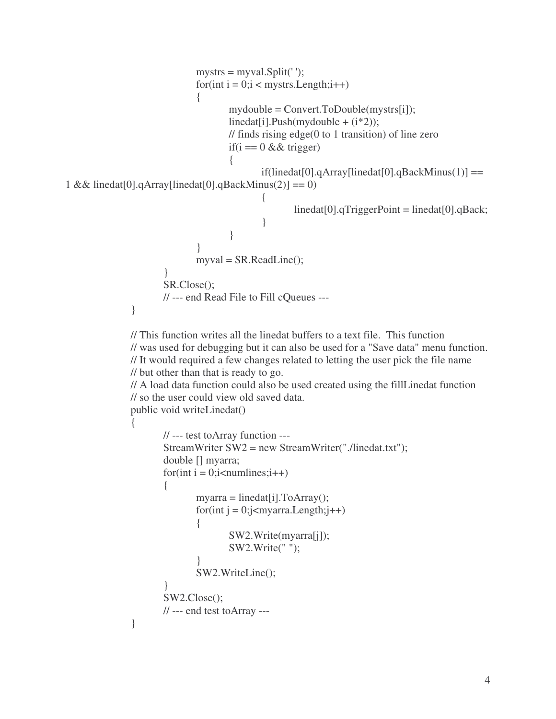```
mystrs = myval.Split('');for(int i = 0;i < mystrs. Length;i++)
                              \{mydouble = Convert.ToDouble(mystrs[i]);
                                     linear[i].Push(mydouble + (i*2));// finds rising edge(0 to 1 transition) of line zero
                                     if(i = 0 & 8 & 0 trigger)
                                      {
                                             if(linedat[0].qArray[linear[0].qBackMinus(1)] ==1 && linedat[0].qArray[linedat[0].qBackMinus(2)] == 0)
                                             {
                                                     linedat[0].qTriggerPoint = linedat[0].qBack;
                                             }
                                      }
                              }
                              myval = SR.ReadLine();
                      }
                      SR.Close();
                      // --- end Read File to Fill cQueues ---
               }
              // This function writes all the linedat buffers to a text file. This function
              // was used for debugging but it can also be used for a "Save data" menu function.
              // It would required a few changes related to letting the user pick the file name
              // but other than that is ready to go.
              // A load data function could also be used created using the fillLinedat function
              // so the user could view old saved data.
              public void writeLinedat()
               {
                      // --- test toArray function ---
                      StreamWriter SW2 = new StreamWriter("./linedat.txt");
                      double [] myarra;
                      for(int i = 0; i < numlines; i + +){
                              myarra = linedat[i].ToArray();for(int j = 0;j<myarra.Length;j++)
                              {
                                     SW2.Write(myarra[j]);
                                     SW2.Write(" ");
                              }
                              SW2.WriteLine();
                       }
```
SW2.Close();

}

// --- end test toArray ---

```
4
```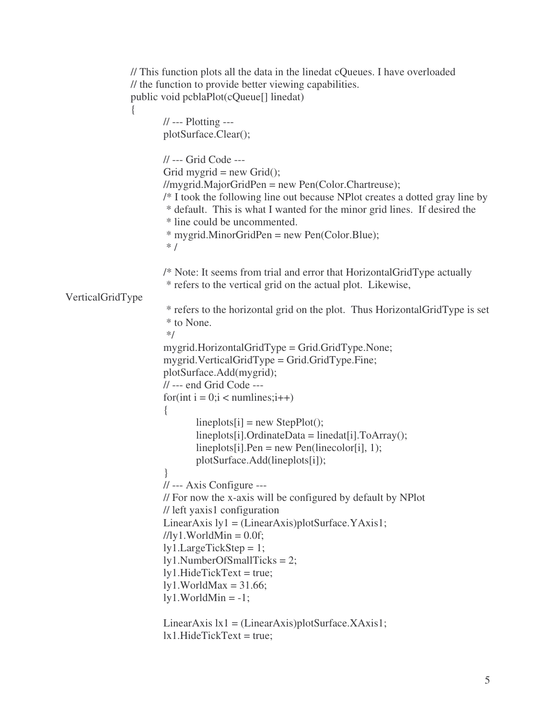```
// This function plots all the data in the linedat cQueues. I have overloaded
               // the function to provide better viewing capabilities.
               public void pcblaPlot(cQueue[] linedat)
               {
                      // --- Plotting ---
                      plotSurface.Clear();
                      // --- Grid Code ---
                      Grid mygrid = new Grid();
                      //mygrid.MajorGridPen = new Pen(Color.Chartreuse);
                      /* I took the following line out because NPlot creates a dotted gray line by
                       * default. This is what I wanted for the minor grid lines. If desired the
                       * line could be uncommented.
                       * mygrid.MinorGridPen = new Pen(Color.Blue);
                       * /
                      /* Note: It seems from trial and error that HorizontalGridType actually
                       * refers to the vertical grid on the actual plot. Likewise,
VerticalGridType
                       * refers to the horizontal grid on the plot. Thus HorizontalGridType is set
                       * to None.
                       */
                      mygrid.HorizontalGridType = Grid.GridType.None;
                      mygrid.VerticalGridType = Grid.GridType.Fine;
                      plotSurface.Add(mygrid);
                      // --- end Grid Code ---
                      for(int i = 0; i < numlines; i++)
                      {
                              lineplots[i] = new StepPlot();lineplots[i].OrdinateData = linedat[i].ToArray();lineplots[i].Pen = new Pen(linecolor[i], 1);plotSurface.Add(lineplots[i]);
                      }
                      // --- Axis Configure ---
                      // For now the x-axis will be configured by default by NPlot
                      // left yaxis1 configuration
                      LinearAxis ly1 = (LinearAxis)plotSurface.YAxis1;///ly1.WorldMin = 0.0f;
                      ly1.LargeTickStep = 1;
                      ly1.NumberOfSmallTicks = 2;
                      ly1.HideTickText = true;
                      ly1. WorldMax = 31.66;ly1. WorldMin = -1;LinearAxis \text{lx1} = \text{(LinearAxis)} \text{plotSurface}. \text{XAxis1};
```

```
lx1.HideTickText = true;
```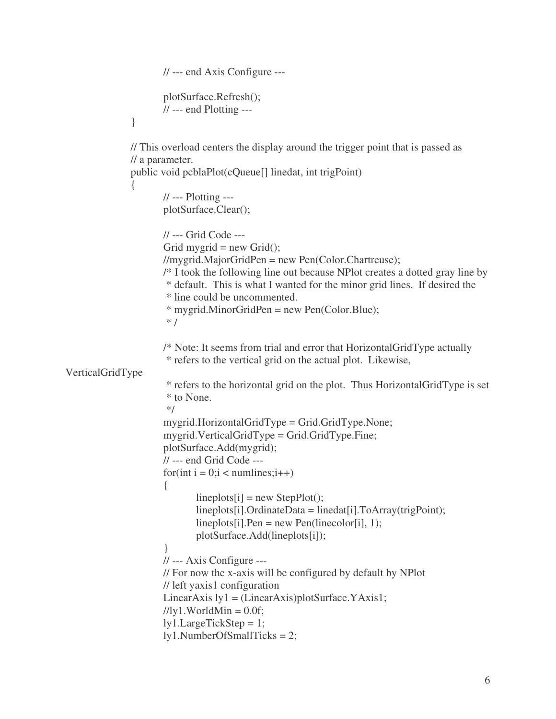```
// --- end Axis Configure ---
                      plotSurface.Refresh();
                      // --- end Plotting ---
               }
              // This overload centers the display around the trigger point that is passed as
              // a parameter.
              public void pcblaPlot(cQueue[] linedat, int trigPoint)
               {
                      // --- Plotting ---
                      plotSurface.Clear();
                      // --- Grid Code ---
                      Grid mygrid = new Grid(i);
                      //mygrid.MajorGridPen = new Pen(Color.Chartreuse);
                      /* I took the following line out because NPlot creates a dotted gray line by
                       * default. This is what I wanted for the minor grid lines. If desired the
                       * line could be uncommented.
                       * mygrid.MinorGridPen = new Pen(Color.Blue);
                       * /
                      /* Note: It seems from trial and error that HorizontalGridType actually
                       * refers to the vertical grid on the actual plot. Likewise,
VerticalGridType
                       * refers to the horizontal grid on the plot. Thus HorizontalGridType is set
                       * to None.
                       */
                      mygrid.HorizontalGridType = Grid.GridType.None;
                      mygrid.VerticalGridType = Grid.GridType.Fine;
                      plotSurface.Add(mygrid);
                      // --- end Grid Code ---
                      for(int i = 0; i < numlines; i++){
                              lineplots[i] = new StepPlot();lineplots[i].OrdinateData = linedat[i].ToArray(trigPoint);
                              lineplots[i].Pen = new Pen(linecolor[i], 1);plotSurface.Add(lineplots[i]);
                      }
                      // --- Axis Configure ---
                      // For now the x-axis will be configured by default by NPlot
                      // left yaxis1 configuration
                      LinearAxis ly1 = (LinearAxis)plotSurface.YAxis1;///ly1.WorldMin = 0.0f;
                      ly1.LargeTickStep = 1;
                      ly1.NumberOfSmallTicks = 2;
```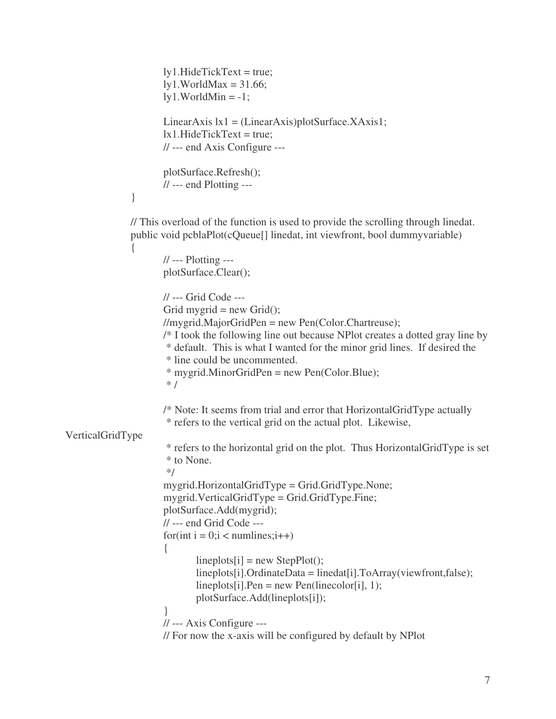```
ly1.HideTickText = true;
                      ly1. WorldMax = 31.66;ly1. WorldMin = -1;LinearAxis \vert x \vert = (LinearAxis)plotSurface.XAxis1;
                      lx1.HideTickText = true;// --- end Axis Configure ---
                      plotSurface.Refresh();
                      // --- end Plotting ---
               }
              // This overload of the function is used to provide the scrolling through linedat.
               public void pcblaPlot(cQueue[] linedat, int viewfront, bool dummyvariable)
               {
                      // --- Plotting ---
                      plotSurface.Clear();
                      // --- Grid Code ---
                      Grid mygrid = new Grid(i);
                      //mygrid.MajorGridPen = new Pen(Color.Chartreuse);
                      /* I took the following line out because NPlot creates a dotted gray line by
                       * default. This is what I wanted for the minor grid lines. If desired the
                       * line could be uncommented.
                       * mygrid.MinorGridPen = new Pen(Color.Blue);
                       * /
                      /* Note: It seems from trial and error that HorizontalGridType actually
                       * refers to the vertical grid on the actual plot. Likewise,
VerticalGridType
                       * refers to the horizontal grid on the plot. Thus HorizontalGridType is set
                       * to None.
                       */
                      mygrid.HorizontalGridType = Grid.GridType.None;
                      mygrid.VerticalGridType = Grid.GridType.Fine;
                      plotSurface.Add(mygrid);
                      // --- end Grid Code ---
                      for(int i = 0; i < numlines; i++){
                              lineplots[i] = new StepPlot();lineplots[i].OrdinateData = linedat[i].ToArray(viewfront,false);
                              lineplots[i].Pen = new Pen(linecolor[i], 1);plotSurface.Add(lineplots[i]);
                      }
                      // --- Axis Configure ---
                      // For now the x-axis will be configured by default by NPlot
```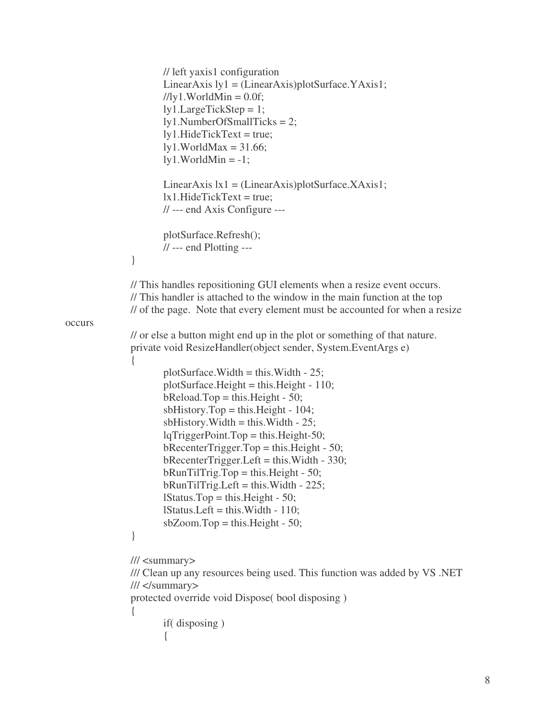```
// left yaxis1 configuration
                      LinearAxis ly1 = (LinearAxis)plotSurface. YAxis1;///ly1.WorldMin = 0.0f;
                      ly1.LargeTickStep = 1;
                      ly1.NumberOfSmallTicks = 2;
                      ly1.HideTickText = true;
                      ly1. WorldMax = 31.66;ly1. WorldMin = -1;LinearAxis |x_1| = (LinearAxis)plotSurface.XAxis1;
                      lx1.HideTickText = true;// --- end Axis Configure ---
                      plotSurface.Refresh();
                      // --- end Plotting ---
               }
              // This handles repositioning GUI elements when a resize event occurs.
              // This handler is attached to the window in the main function at the top
              // of the page. Note that every element must be accounted for when a resize
occurs
              // or else a button might end up in the plot or something of that nature.
              private void ResizeHandler(object sender, System.EventArgs e)
               {
                      plotSurface. Width = this. Width - 25;plotSurface. Height = this. Height - 110;b\text{Reload}.Top = this.Height - 50;
                      sbHistory.Top = this.Height - 104;sbHistory.Width = this.Width - 25;lqTriggerPoint.Top = this.Height-50;bRecenterTrigger.Top = this.Height - 50;
                      bRecenterTrigger.Left = this.Width - 330;
                      bRunTilTrig.Top = this.Height - 50;bRunTilTrig. Left = this. Width - 225;lStatus.Top = this.Height - 50;
                      lStatus.Left = this.Width - 110;
                      sbZoom.Top = this.Height - 50;}
              /// <summary>
              /// Clean up any resources being used. This function was added by VS .NET
              /// </summary>
              protected override void Dispose( bool disposing )
               {
                      if( disposing )
                      {
```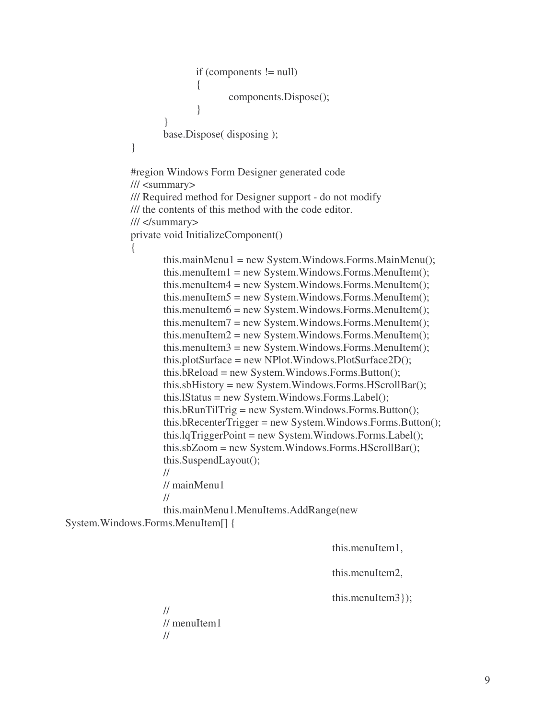```
if (components != null)
               {
                      components.Dispose();
               }
       }
       base.Dispose( disposing );
}
```
#region Windows Form Designer generated code /// <summary> /// Required method for Designer support - do not modify /// the contents of this method with the code editor. /// </summary> private void InitializeComponent() {

> this.mainMenu1 = new System.Windows.Forms.MainMenu(); this.menuItem1 = new System.Windows.Forms.MenuItem $($ ); this.menuItem4 = new System.Windows.Forms.MenuItem(); this.menuItem $5 = new System.Windows. Forms.Menultem();$ this.menuItem6 = new System.Windows.Forms.MenuItem(); this.menuItem7 = new System.Windows.Forms.MenuItem(); this.menuItem2 = new System.Windows.Forms.MenuItem $()$ ;  $this$ .menuItem3 = new System.Windows.Forms.MenuItem $();$ this.plotSurface = new NPlot.Windows.PlotSurface2D(); this.bReload = new System.Windows.Forms.Button(); this.sbHistory = new System.Windows.Forms.HScrollBar(); this.lStatus = new System.Windows.Forms.Label(); this.bRunTilTrig = new System.Windows.Forms.Button(); this.bRecenterTrigger = new System.Windows.Forms.Button(); this.lqTriggerPoint = new System.Windows.Forms.Label(); this.sbZoom = new System.Windows.Forms.HScrollBar(); this.SuspendLayout(); // // mainMenu1 //

this.mainMenu1.MenuItems.AddRange(new System.Windows.Forms.MenuItem[] {

this.menuItem1,

this.menuItem2,

this.menuItem3});

// // menuItem1 //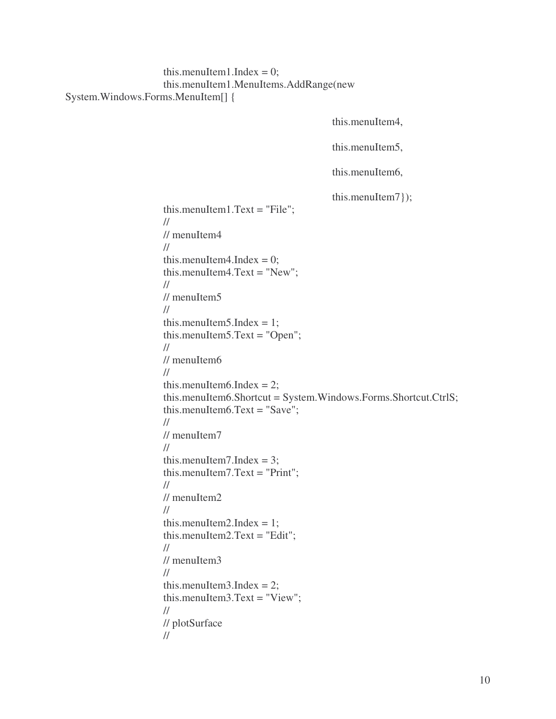# this.menuItem1.Index =  $0$ ; this.menuItem1.MenuItems.AddRange(new System.Windows.Forms.MenuItem[] {

```
this.menuItem4,
                                     this.menuItem5,
                                     this.menuItem6,
                                     this.menuItem7});
this.menuItem1.Text = "File";
//
// menuItem4
//
this.menuItem4.Index = 0;
this.menuItem4.Text = "New";
//
// menuItem5
//
this.menuItem5.Index = 1;
this.menuItem5.Text = "Open";
//
// menuItem6
//
this.menuItem6.Index = 2;
this.menuItem6.Shortcut = System.Windows.Forms.Shortcut.CtrlS;
this.menuItem6.Text = "Save";
//
// menuItem7
//
this.menuItem7.Index = 3;
this.menuItem7.Text = "Print";
//
// menuItem2
//
this.menuItem2.Index = 1;
this.menuItem2.Text = "Edit";
//
// menuItem3//
this.menuItem3.Index = 2;
this.menuItem3.Text = "View";
//
// plotSurface
//
```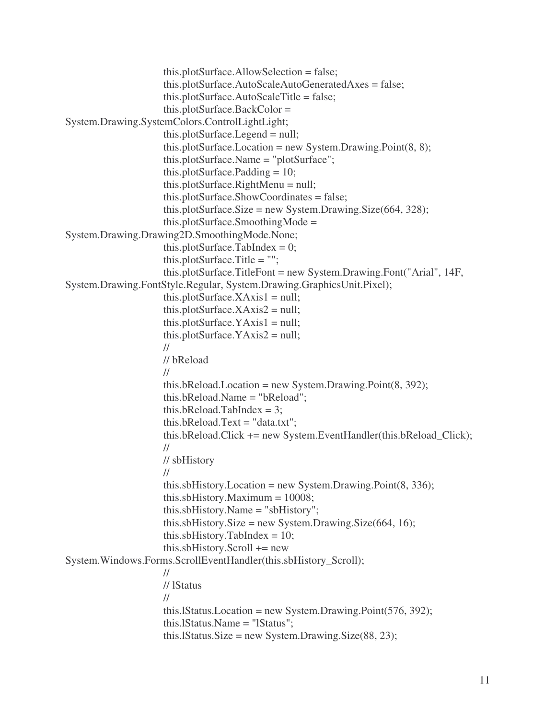```
this.plotSurface.AllowSelection = false;
                     this.plotSurface.AutoScaleAutoGeneratedAxes = false;
                     this.plotSurface.AutoScaleTitle = false;
                     this.plotSurface.BackColor =
System.Drawing.SystemColors.ControlLightLight;
                     this.plotSurface.Legend = null;
                     this.plotSurface.Location = new System.Drawing.Point(8, 8);
                     this.plotSurface.Name = "plotSurface";
                     this.plotSurface.Padding = 10;
                     this.plotSurface.RightMenu = null;
                     this.plotSurface.ShowCoordinates = false;
                     this.plotSurface.Size = new System.Drawing.Size(664, 328);
                     this.plotSurface.SmoothingMode =
System.Drawing.Drawing2D.SmoothingMode.None;
                     this.plotSurface.TabIndex = 0;
                     this.plotSurface.Title = "";
                     this.plotSurface.TitleFont = new System.Drawing.Font("Arial", 14F,
System.Drawing.FontStyle.Regular, System.Drawing.GraphicsUnit.Pixel);
                     this.plotSurface.XAxis1 = null;this.plotSurface.XAxis2 = null;this.plotSurface.YAxis1 = null;
                     this.plotSurface.YAxis2 = null;
                     //
                     // bReload
                     //
                     this.bReload.Location = new System.Drawing.Point(8, 392);
                     this.bReload.Name = "bReload";
                     this.bReload.TabIndex = 3;
                     this.bReload.Text = "data.txt";
                     this.bReload.Click += new System.EventHandler(this.bReload_Click);
                     //
                     // sbHistory
                     //
                     this.sbHistory.Location = new System.Drawing.Point(8, 336);
                     this.sbHistory.Maximum = 10008;
                     this.sbHistory.Name = "sbHistory";
                     this.sbHistory.Size = new System.Drawing.Size(664, 16);
                     this.sbHistory.TabIndex = 10;
                     this.sbHistory.Scroll += newSystem.Windows.Forms.ScrollEventHandler(this.sbHistory_Scroll);
                     //
                     // lStatus
                     //
                     this.lStatus.Location = new System.Drawing.Point(576, 392);
                     this.lStatus.Name = "lStatus";
                     this.lStatus.Size = new System.Drawing.Size(88, 23);
```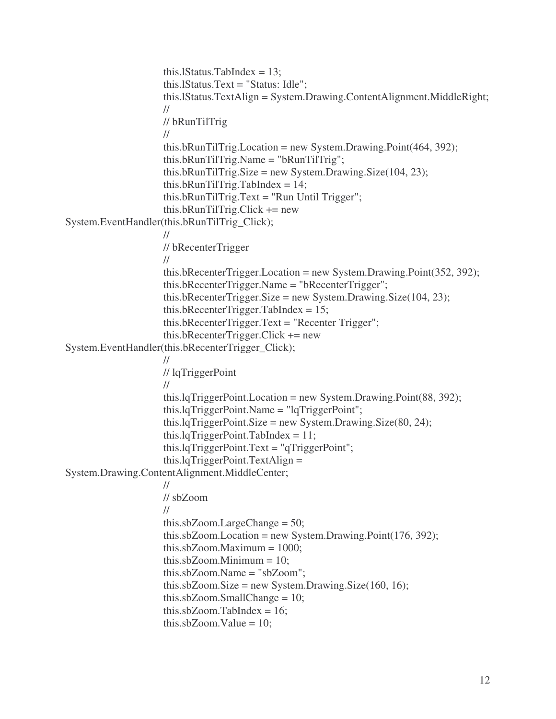```
this.IStatus.TabIndex = 13;
                     this.lStatus.Text = "Status: Idle";
                     this.lStatus.TextAlign = System.Drawing.ContentAlignment.MiddleRight;
                     //
                     // bRunTilTrig
                     //
                     this.bRunTilTrig.Location = new System.Drawing.Point(464, 392);
                     this.bRunTilTrig.Name = "bRunTilTrig";
                     this.bRunTilTrig.Size = new System.Drawing.Size(104, 23);
                     this.bRunTilTrig.TabIndex = 14;
                     this.bRunTilTrig.Text = "Run Until Trigger";
                     this.bRunTilTrig.Click += new
System.EventHandler(this.bRunTilTrig_Click);
                     //
                     // bRecenterTrigger
                     //
                     this.bRecenterTrigger.Location = new System.Drawing.Point(352, 392);
                     this.bRecenterTrigger.Name = "bRecenterTrigger";
                     this.bRecenterTrigger.Size = new System.Drawing.Size(104, 23);
                     this.bRecenterTrigger.TabIndex = 15;
                     this.bRecenterTrigger.Text = "Recenter Trigger";
                     this.bRecenterTrigger.Click += new
System.EventHandler(this.bRecenterTrigger_Click);
                     //
                     // lqTriggerPoint
                     //
                     this.lqTriggerPoint.Location = new System.Drawing.Point(88, 392);
                     this.lqTriggerPoint.Name = "lqTriggerPoint";
                     this.lqTriggerPoint.Size = new System.Drawing.Size(80, 24);
                     this.lqTriggerPoint.TabIndex = 11;
                     this.lqTriggerPoint.Text = "qTriggerPoint";
                     this.lqTriggerPoint.TextAlign =
System.Drawing.ContentAlignment.MiddleCenter;
                     //
                     // sbZoom
                     //
                     this.sbZoom.LargeChange = 50;
                     this.sbZoom.Location = new System.Drawing.Point(176, 392);
                     this.sbZoom.Maximum = 1000;
                     this.sbZoom.Minimum = 10:
                     this.sbZoom.Name = "sbZoom";
                     this.sbZoom.Size = new System.Drawing.Size(160, 16);
                     this.sbZoom.SmallChange = 10;
                     this.sbZoom.TabIndex = 16;
                     this.sbZoom.Value = 10;
```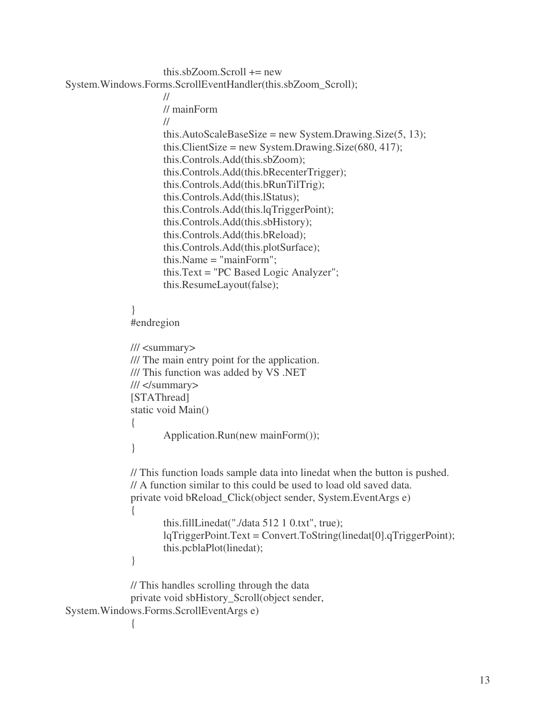```
this.sbZoom.Scroll += new
System.Windows.Forms.ScrollEventHandler(this.sbZoom_Scroll);
```

```
//
       // mainForm
       //
       this.AutoScaleBaseSize = new System.Drawing.Size(5, 13);
       this.ClientSize = new System.Drawing.Size(680, 417);
       this.Controls.Add(this.sbZoom);
       this.Controls.Add(this.bRecenterTrigger);
       this.Controls.Add(this.bRunTilTrig);
       this.Controls.Add(this.lStatus);
       this.Controls.Add(this.lqTriggerPoint);
       this.Controls.Add(this.sbHistory);
       this.Controls.Add(this.bReload);
       this.Controls.Add(this.plotSurface);
       this.Name = "mainForm";
       this.Text = "PC Based Logic Analyzer";
       this.ResumeLayout(false);
}
#endregion
/// <summary>
/// The main entry point for the application.
/// This function was added by VS .NET
/// </summary>
[STAThread]
static void Main()
{
       Application.Run(new mainForm());
}
// This function loads sample data into linedat when the button is pushed.
// A function similar to this could be used to load old saved data.
private void bReload_Click(object sender, System.EventArgs e)
{
       this.fillLinedat("./data 512 1 0.txt", true);
       lqTriggerPoint.Text = Convert.ToString(linedat[0].qTriggerPoint);
       this.pcblaPlot(linedat);
}
```
// This handles scrolling through the data private void sbHistory\_Scroll(object sender, System.Windows.Forms.ScrollEventArgs e)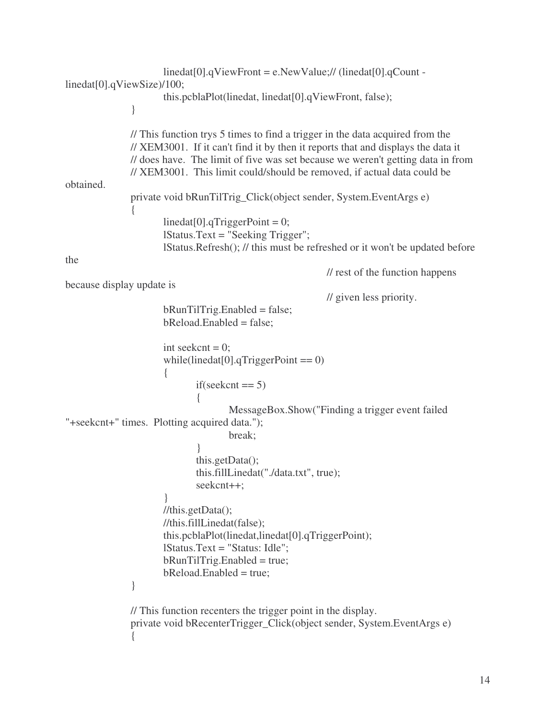```
linedat[0].qViewFront = e.NewValue;// (linedat[0].qCount -
linedat[0].qViewSize)/100;
                      this.pcblaPlot(linedat, linedat[0].qViewFront, false);
               }
               // This function trys 5 times to find a trigger in the data acquired from the
               // XEM3001. If it can't find it by then it reports that and displays the data it
               // does have. The limit of five was set because we weren't getting data in from
               // XEM3001. This limit could/should be removed, if actual data could be
obtained.
               private void bRunTilTrig_Click(object sender, System.EventArgs e)
               {
                      linear[0].qTriggerPoint = 0;lStatus.Text = "Seeking Trigger";
                      lStatus.Refresh(); // this must be refreshed or it won't be updated before
the
                                                            // rest of the function happens
because display update is
                                                             // given less priority.
                      bRunTilTrig.<br>Enabeled = false;bReload.Enabled = false;
                      int seekcnt = 0;
                      while(linedat[0].qTriggerPoint == 0)
                      {
                              if(seekcnt == 5){
                                     MessageBox.Show("Finding a trigger event failed
"+seekcnt+" times. Plotting acquired data.");
                                     break;
                              }
                              this.getData();
                              this.fillLinedat("./data.txt", true);
                              seekcnt++;
                      }
                      //this.getData();
                      //this.fillLinedat(false);
                      this.pcblaPlot(linedat,linedat[0].qTriggerPoint);
                      lStatus.Text = "Status: Idle";
                      bRunTilTrig.<br>Enabled = true;bReload.Enabled = true;
               }
               // This function recenters the trigger point in the display.
               private void bRecenterTrigger_Click(object sender, System.EventArgs e)
               {
```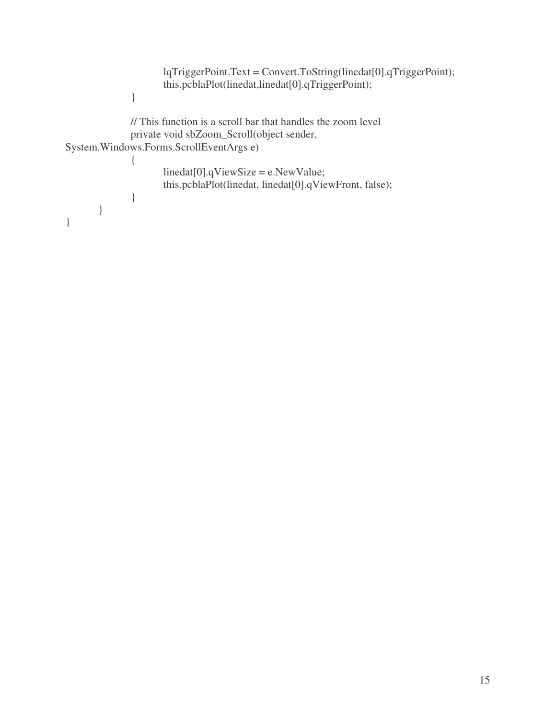```
lqTriggerPoint.Text = Convert.ToString(linedat[0].qTriggerPoint);
                      this.pcblaPlot(linedat,linedat[0].qTriggerPoint);
               }
              // This function is a scroll bar that handles the zoom level
              private void sbZoom_Scroll(object sender,
System.Windows.Forms.ScrollEventArgs e)
               \{linedat[0].qViewSize = e.NewValue;
                      this.pcblaPlot(linedat, linedat[0].qViewFront, false);
               }
       }
}
```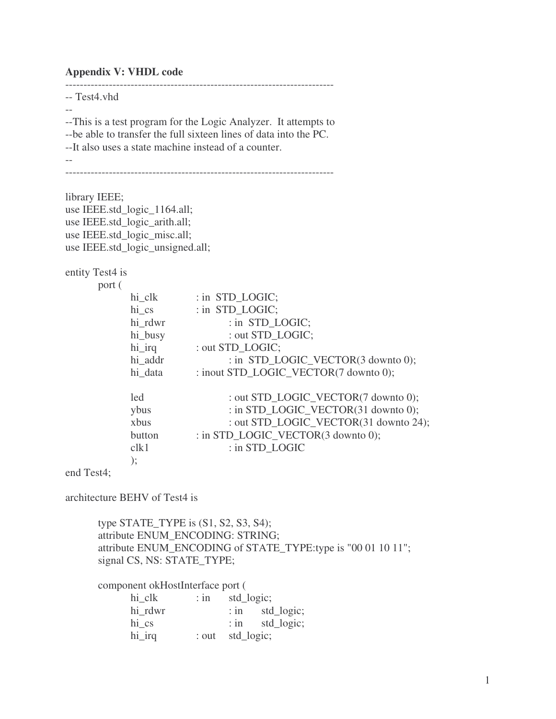#### **Appendix V: VHDL code**

-- Test4.vhd

--This is a test program for the Logic Analyzer. It attempts to --be able to transfer the full sixteen lines of data into the PC. --It also uses a state machine instead of a counter. --

--------------------------------------------------------------------------

--------------------------------------------------------------------------

library IEEE; use IEEE.std\_logic\_1164.all; use IEEE.std\_logic\_arith.all; use IEEE.std\_logic\_misc.all; use IEEE.std\_logic\_unsigned.all;

entity Test4 is

port (

| hi clk  | : in STD LOGIC;                       |
|---------|---------------------------------------|
| hi cs   | : in STD LOGIC;                       |
| hi rdwr | : in STD_LOGIC;                       |
| hi_busy | : out STD LOGIC;                      |
| hi_irq  | : out STD LOGIC;                      |
| hi_addr | : in STD_LOGIC_VECTOR(3 downto 0);    |
| hi data | : inout STD_LOGIC_VECTOR(7 downto 0); |
| led     | : out STD_LOGIC_VECTOR(7 downto 0);   |
| ybus    | : in STD_LOGIC_VECTOR(31 downto 0);   |
| xbus    | : out STD_LOGIC_VECTOR(31 downto 24); |
| button  | : in STD_LOGIC_VECTOR(3 downto 0);    |
| clk1    | : in STD LOGIC                        |
| );      |                                       |

end Test4;

architecture BEHV of Test4 is

type STATE\_TYPE is (S1, S2, S3, S4); attribute ENUM\_ENCODING: STRING; attribute ENUM\_ENCODING of STATE\_TYPE:type is "00 01 10 11"; signal CS, NS: STATE\_TYPE;

component okHostInterface port (

| hi clk  | $:$ in | std_logic;       |                   |
|---------|--------|------------------|-------------------|
| hi rdwr |        |                  | $:$ in std_logic; |
| hi cs   |        |                  | : in std_logic;   |
| hi_irq  |        | : out std_logic; |                   |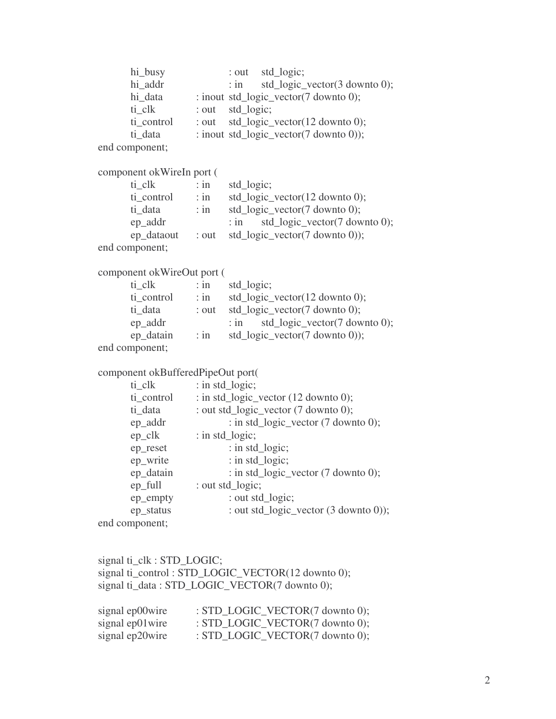```
hi_busy : out std_logic;
     hi_addr : in std_logic_vector(3 downto 0);
     hi_data : inout std_logic_vector(7 downto 0);
     ti clk : out std logic;
      ti_control : out std_logic_vector(12 downto 0);
     ti_data : inout std_logic_vector(7 downto 0));
end component;
component okWireIn port (
     ti_clk : in std_logic;
     ti_control : in std_logic_vector(12 downto 0);
     ti_data : in std_logic_vector(7 downto 0);
     ep_addr : in std_logic_vector(7 downto 0);
     ep_dataout : out std_logic_vector(7 downto 0));
end component;
component okWireOut port (
     ti_clk : in std_logic;
     ti_control : in std_logic_vector(12 downto 0);
     ti_data : out std_logic_vector(7 downto 0);
     ep_addr : in std_logic_vector(7 downto 0);
     ep_datain : in std_logic_vector(7 downto 0));
end component;
component okBufferedPipeOut port(
     ti_clk : in std_logic;
     ti_control : in std_logic_vector (12 downto 0);
     ti_data : out std_logic_vector (7 downto 0);
     ep_addr : in std_logic_vector (7 downto 0);
     ep_clk : in std_logic;
     ep_reset : in std_logic;
     ep_write : in std_logic;
     ep_datain : in std_logic_vector (7 downto 0);
     ep full : out std logic;
     ep_empty : out std_logic;
     ep_status : out std_logic_vector (3 downto 0));
end component;
signal ti_clk : STD_LOGIC;
signal ti_control : STD_LOGIC_VECTOR(12 downto 0);
```
signal ti\_data : STD\_LOGIC\_VECTOR(7 downto 0);

| signal ep00wire | : $STD\_LOGIC\_VECTOR(7 \text{ downto 0});$   |
|-----------------|-----------------------------------------------|
| signal ep01wire | : $STD\_LOGIC\_VECTOR(7 \text{ downto 0});$   |
| signal ep20wire | : $STD\_LOGIC\_VECTOR(7 \text{ down to } 0);$ |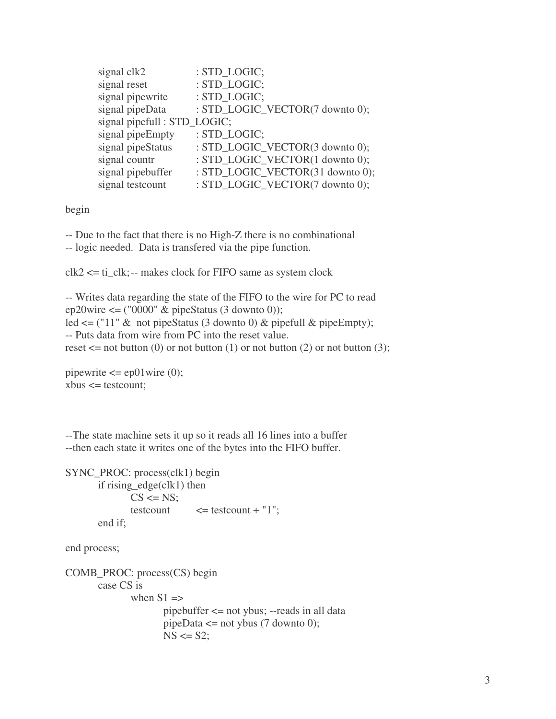| signal clk2                  | : STD LOGIC;                     |
|------------------------------|----------------------------------|
| signal reset                 | : STD LOGIC;                     |
| signal pipewrite             | : STD_LOGIC;                     |
| signal pipeData              | : STD_LOGIC_VECTOR(7 downto 0);  |
| signal pipefull : STD_LOGIC; |                                  |
| signal pipeEmpty             | : STD LOGIC;                     |
| signal pipeStatus            | : STD_LOGIC_VECTOR(3 downto 0);  |
| signal countr                | : STD_LOGIC_VECTOR(1 downto 0);  |
| signal pipebuffer            | : STD_LOGIC_VECTOR(31 downto 0); |
| signal testcount             | : STD_LOGIC_VECTOR(7 downto 0);  |

begin

-- Due to the fact that there is no High-Z there is no combinational

-- logic needed. Data is transfered via the pipe function.

 $clk2 \leq ti_clk$ ;-- makes clock for FIFO same as system clock

```
-- Writes data regarding the state of the FIFO to the wire for PC to read
ep20wire \leq ("0000" & pipeStatus (3 downto 0));
led \leq ("11" & not pipeStatus (3 downto 0) & pipefull & pipeEmpty);
-- Puts data from wire from PC into the reset value.
reset \leq not button (0) or not button (1) or not button (2) or not button (3);
```

```
pipewrite \leq = ep01wire (0);
xbus \leq testcount;
```
--The state machine sets it up so it reads all 16 lines into a buffer --then each state it writes one of the bytes into the FIFO buffer.

```
SYNC_PROC: process(clk1) begin
       if rising edge(clk1) then
              CS \leq NS;
              testcount \le = testcount + "1";
       end if;
```
end process;

```
COMB_PROC: process(CS) begin
       case CS is
              when S1 \equiv >pipebuffer <= not ybus; --reads in all data
                      pipeData \leq not ybus (7 downto 0);
                      NS \leq S2;
```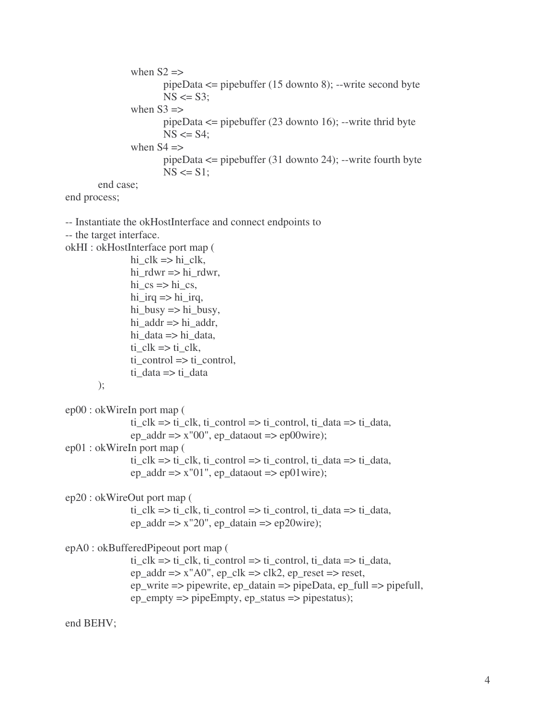```
when S2 \RightarrowpipeData <= pipebuffer (15 downto 8); --write second byte
                NS \leq S3;
        when S3 \RightarrowpipeData \leq pipebuffer (23 downto 16); --write thrid byte
                NS \leq S4;
        when S4 \RightarrowpipeData <= pipebuffer (31 downto 24); --write fourth byte
                NS \leq S1:
end case;
```
end process;

```
-- Instantiate the okHostInterface and connect endpoints to
-- the target interface.
okHI : okHostInterface port map (
                   hi_clk \Rightarrow hi_clk,
                   hi_rdwr \Rightarrow hi_rdwr,
                   hi_cs \Rightarrow hi_cs,
                   hi irq \Rightarrow hi irq,
                   hi_busy \Rightarrow hi_busy,
                   hi_addr \Rightarrow hi_addr,
                   hi data \Rightarrow hi data,
                   ti<sup>Clk</sup> =>ti<sup>Clk</sup>,
                   ti control \Rightarrow ti control,
                   ti_data => ti_data
         );
ep00 : okWireIn port map (
                   ti clk \Rightarrow ti clk, ti control \Rightarrow ti control, ti data \Rightarrow ti data,
                   ep\_addr \Rightarrow x''00", ep\_dataout \Rightarrow ep00wire);ep01 : okWireIn port map (
                   ti clk \Rightarrow ti clk, ti control \Rightarrow ti control, ti data \Rightarrow ti data,
                   ep\_addr \Rightarrow x''01", ep\_dataout \Rightarrow ep01wire);ep20 : okWireOut port map (
                   ti<sub>_clk</sub> => ti<sub>_clk</sub>, ti<sub>_control</sub> => ti<sub>_control</sub>, ti<sub>_data</sub> => ti<sub>_data</sub>,
                   ep_addr \Rightarrow x"20", ep_datain \Rightarrow ep20wire);
epA0 : okBufferedPipeout port map (
                   ti clk => ti clk, ti control => ti control, ti data => ti data,
                   ep\_addr \Rightarrow x''A0'', ep\_clk \Rightarrow clk2, ep\_reset \Rightarrow reset,
                   ep_write => pipewrite, ep_datain => pipeData, ep_full => pipefull,
                   ep\_empty \implies pipeEmpty, ep\_status \implies pipeStatus);
```
end BEHV;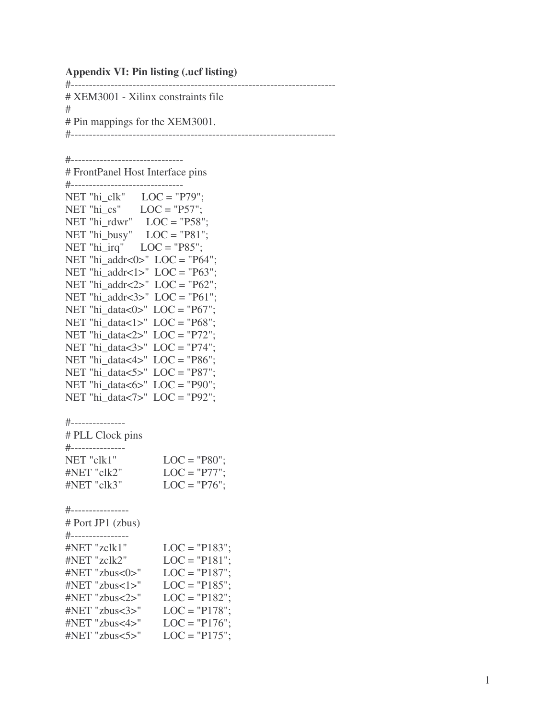#### **Appendix VI: Pin listing (.ucf listing)**

# - - - - - - - - - - - - - - - - - - - - - - - - - - - - - - - - - - - - - - - - - - - - - - - - - - - - - - - - - - - - - - - - - - - - # XEM3001 - Xilinx constraints file #<br># Pin mappings for the XEM3001. # - - - - - - - - - - - - - - - - - - - - - - - - - - - - - - - - - - - - - - - - - - - - - - - - - - - - - - - - - - - - - - - - - - - -

- - - - -

- - - - -

#------------------------------

# FrontPanel Host Interface pins # - - - - - - - - - - - - - - - - - - - - - - - - - - - - - - - NET "hi\_clk"  $LOC = "P79";$ NET "hi\_cs"  $LOC = "P57";$ NET "hi\_rdwr"  $LOC = "P58";$ NET "hi\_busy"  $LOC = "P81";$ NET "hi\_irq"  $LOC = "P85";$ NET "hi\_addr< $0$ >" LOC = "P64"; NET "hi\_addr< $1$ >" LOC = "P63"; NET "hi\_addr<2>"  $LOC = "P62";$ NET "hi\_addr<3>"  $LOC = "P61";$ NET "hi\_data< $0$ >" LOC = "P67"; NET "hi\_data<1>"  $LOC = "P68";$ NET "hi\_data<2>"  $LOC = "P72";$ NET "hi\_data<3>"  $LOC = "P74";$ NET "hi\_data< $4$ >" LOC = "P86"; NET "hi\_data<5>"  $LOC = "P87";$ NET "hi\_data<6>"  $LOC = "P90";$ NET "hi\_data<7>"  $LOC = "P92";$ #---------------# PLL Clock pins #---------------NET "clk1"  $LOC = "P80";$ # N E T " c l k 2 "  $LOC = "P77";$ # N E T " c l k 3 "  $LOC = "P76";$ #----------------# Port JP1 (zbus) #----------------# N E T " z c l k 1 "  $LOC = "P183";$ # N E T " z c l k 2 "  $LOC = "P181";$ # N E T " z b u s < 0 > "  $LOC = "P187";$ # N E T " z b u s < 1 > "  $LOC = "P185";$ # N E T " z b u s < 2 > "  $LOC = "P182";$ # N E T " z b u s < 3 > "  $LOC = "P178";$ # N E T " z b u s < 4 > "  $LOC = "P176";$ # N E T " z b u s < 5 > "  $LOC = "P175";$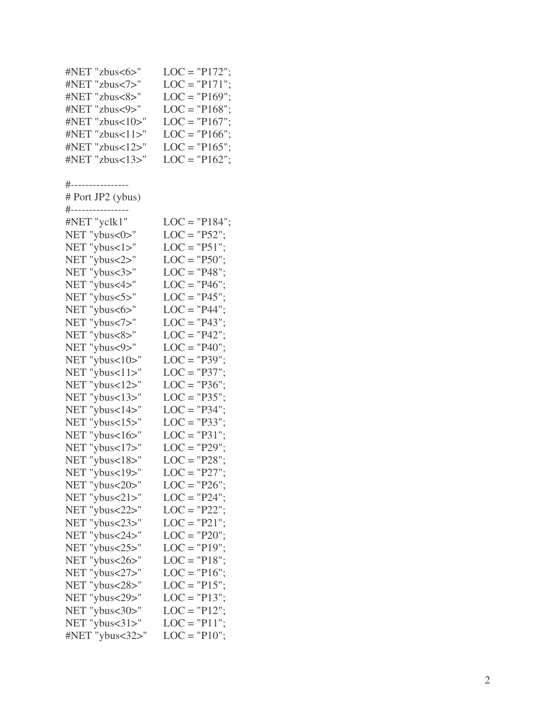| #NET "zbus<6>"                                                                                                                  | $LOC = "P172";$                                                        |
|---------------------------------------------------------------------------------------------------------------------------------|------------------------------------------------------------------------|
| #NET "zbus<7>"                                                                                                                  | $LOC = "P171";$                                                        |
| #NET "zbus<8>"                                                                                                                  | $LOC = "P169";$                                                        |
| #NET "zbus<9>"                                                                                                                  | $LOC = "P168";$                                                        |
| #NET "zbus<10>"                                                                                                                 | $LOC = "P167";$                                                        |
| #NET "zbus<11>"                                                                                                                 | $LOC = "P166";$                                                        |
| #NET "zbus<12>"                                                                                                                 | $LOC = "P165";$                                                        |
| #NET "zbus<13>"<br>#----------------<br># Port JP2 (ybus)<br>#---------------<br>#NET "yclk1"<br>NET "ybus<0>"<br>NET "ybus<1>" | $LOC = "P162";$<br>$LOC = "P184";$<br>$LOC = "P52";$<br>$LOC = "P51";$ |
| NET "ybus<2>"                                                                                                                   | $LOC = "P50";$                                                         |
| NET "ybus<3>"                                                                                                                   | $LOC = "P48";$                                                         |
| NET "ybus<4>"                                                                                                                   | $LOC = "P46";$                                                         |
| NET "ybus<5>"                                                                                                                   | $LOC = "P45";$                                                         |
| NET "ybus<6>"                                                                                                                   | $LOC = "P44";$                                                         |
| NET "ybus<7>"                                                                                                                   | $LOC = "P43";$                                                         |
| NET "ybus<8>"                                                                                                                   | $LOC = "P42";$                                                         |
| NET "ybus<9>"                                                                                                                   | $LOC = "P40";$                                                         |
| NET "ybus<10>"                                                                                                                  | $LOC = "P39";$                                                         |
| NET "ybus<11>"                                                                                                                  | $LOC = "P37";$                                                         |
| NET "ybus<12>"                                                                                                                  | $LOC = "P36";$                                                         |
| NET "ybus<13>"                                                                                                                  | $LOC = "P35";$                                                         |
| NET "ybus<14>"                                                                                                                  | $LOC = "P34";$                                                         |
| NET "ybus<15>"                                                                                                                  | $LOC = "P33";$                                                         |
| NET "ybus<16>"                                                                                                                  | $LOC = "P31";$                                                         |
| NET "ybus<17>"                                                                                                                  | $LOC = "P29";$                                                         |
| NET "ybus<18>"                                                                                                                  | $LOC = "P28";$                                                         |
| NET "ybus<19>"                                                                                                                  | $LOC = "P27";$                                                         |
| NET "ybus<20>"                                                                                                                  | $LOC = "P26";$                                                         |
| NET "ybus<21>"                                                                                                                  | $LOC = "P24";$                                                         |
| NET "ybus<22>"                                                                                                                  | $LOC = "P22";$                                                         |
| NET "ybus<23>"                                                                                                                  | $LOC = "P21";$                                                         |
| NET "ybus<24>"                                                                                                                  | $LOC = "P20";$                                                         |
| NET "ybus<25>"                                                                                                                  | $LOC = "P19";$                                                         |
| NET "ybus<26>"                                                                                                                  | $LOC = "P18";$                                                         |
| NET "ybus<27>"                                                                                                                  | $LOC = "P16";$                                                         |
| NET "ybus<28>"                                                                                                                  | $LOC = "P15";$                                                         |
| NET "ybus<29>"                                                                                                                  | $LOC = "P13";$                                                         |
| NET "ybus<30>"                                                                                                                  | $LOC = "P12";$                                                         |
| NET "ybus<31>"                                                                                                                  | $LOC = "P11";$                                                         |
| #NET "ybus<32>"                                                                                                                 | $LOC = "P10";$                                                         |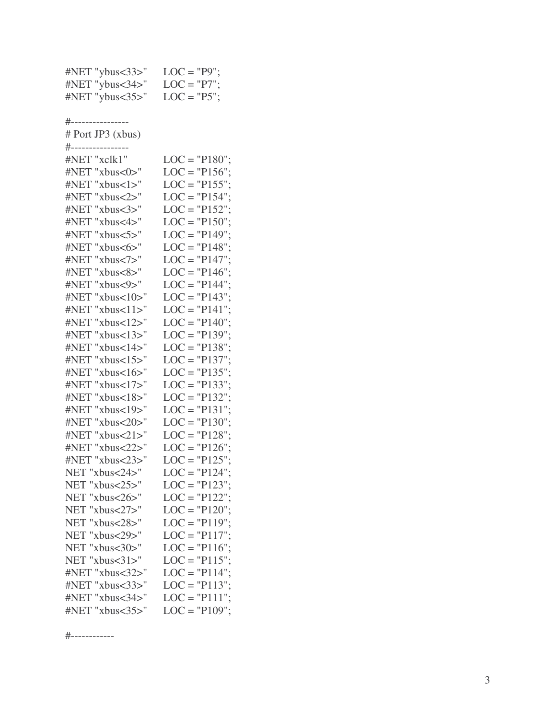| #NET "ybus<33>"                     | $LOC = "P9";$   |
|-------------------------------------|-----------------|
| #NET "ybus<34>"                     | $LOC = "P7";$   |
| #NET "ybus<35>"                     | $LOC = "P5";$   |
|                                     |                 |
| #-------------<br># Port JP3 (xbus) |                 |
| #--------------                     |                 |
| #NET "xclk1"                        | $LOC = "P180";$ |
| #NET "xbus<0>"                      | $LOC = "P156";$ |
| #NET "xbus<1>"                      | $LOC = "P155";$ |
| #NET "xbus<2>"                      | $LOC = "P154";$ |
| #NET "xbus<3>"                      | $LOC = "P152";$ |
| #NET "xbus<4>"                      | $LOC = "P150";$ |
| #NET "xbus<5>"                      | $LOC = "P149";$ |
| #NET "xbus<6>"                      | $LOC = "P148";$ |
| #NET "xbus<7>"                      | $LOC = "P147";$ |
| #NET "xbus<8>"                      | $LOC = "P146";$ |
| #NET "xbus<9>"                      | $LOC = "P144";$ |
| #NET "xbus<10>"                     | $LOC = "P143";$ |
| #NET "xbus<11>"                     | $LOC = "P141";$ |
| #NET "xbus<12>"                     | $LOC = "P140";$ |
| #NET "xbus<13>"                     | $LOC = "P139";$ |
| #NET "xbus<14>"                     | $LOC = "P138";$ |
| #NET "xbus<15>"                     | $LOC = "P137";$ |
| #NET "xbus<16>"                     | $LOC = "P135";$ |
| #NET "xbus<17>"                     | $LOC = "P133";$ |
| #NET "xbus<18>"                     | $LOC = "P132";$ |
| #NET "xbus<19>"                     | $LOC = "P131";$ |
| #NET "xbus<20>"                     | $LOC = "P130";$ |
| #NET "xbus<21>"                     | $LOC = "P128";$ |
| #NET "xbus<22>"                     | $LOC = "P126";$ |
| #NET "xbus<23>"                     | $LOC = "P125";$ |
| NET "xbus<24>"                      | $LOC = "P124";$ |
| NET "xbus<25>"                      | $LOC = "P123";$ |
| NET "xbus<26>"                      | $LOC = "P122";$ |
| NET "xbus<27>"                      | $LOC = "P120";$ |
| NET "xbus<28>"                      | $LOC = "P119";$ |
| NET "xbus<29>"                      | $LOC = "P117";$ |
| NET "xbus<30>"                      | $LOC = "P116";$ |
| NET "xbus<31>"                      | $LOC = "P115";$ |
| #NET "xbus<32>"                     | $LOC = "P114";$ |
| #NET "xbus<33>"                     | $LOC = "P113";$ |
| #NET "xbus<34>"                     | $LOC = "P111";$ |
| #NET "xbus<35>"                     | $LOC = "P109";$ |
|                                     |                 |

# - - - - - - - - - - - -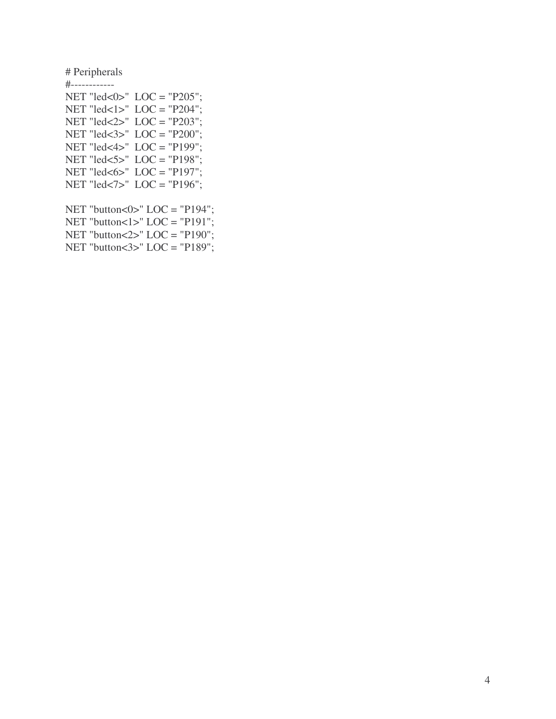# Peripherals

#------------ NET "led<0>" LOC = "P205"; NET "led<1>" LOC = "P204"; NET "led<2>" LOC = "P203"; NET "led<3>" LOC = "P200"; NET "led<4>" LOC = "P199"; NET "led<5>" LOC = "P198"; NET "led $<6>$ " LOC = "P197"; NET "led<7>" LOC = "P196";

NET "button<0>"  $LOC = "P194";$ NET "button $<1$ >" LOC = "P191"; NET "button<2>" LOC = "P190"; NET "button<3>"  $LOC = "P189";$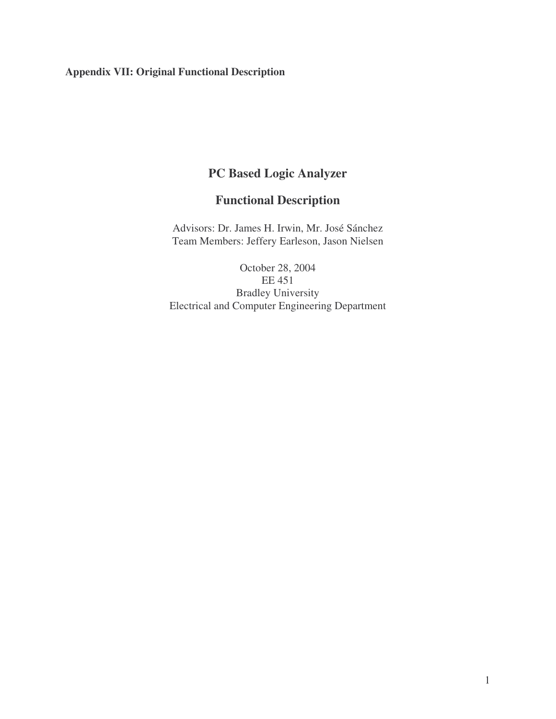# **Appendix VII: Original Functional Description**

# **PC Based Logic Analyzer**

# **Functional Description**

Advisors: Dr. James H. Irwin, Mr. José Sánchez Team Members: Jeffery Earleson, Jason Nielsen

October 28, 2004 EE 451 Bradley University Electrical and Computer Engineering Department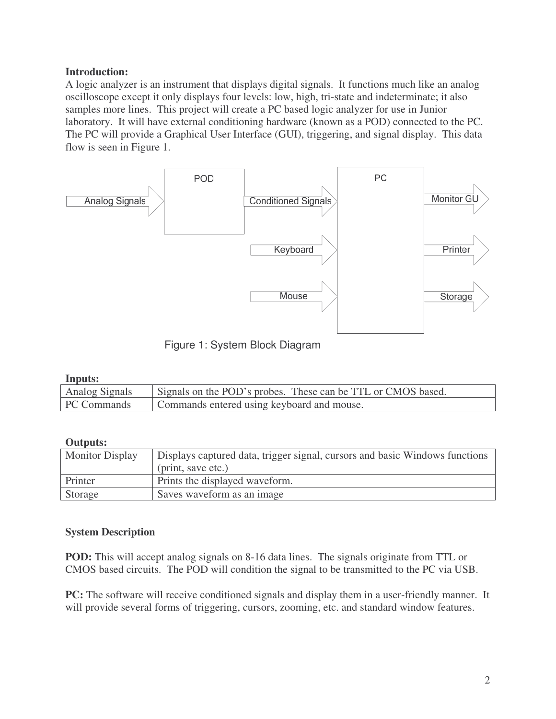## **Introduction:**

A logic analyzer is an instrument that displays digital signals. It functions much like an analog oscilloscope except it only displays four levels: low, high, tri-state and indeterminate; it also samples more lines. This project will create a PC based logic analyzer for use in Junior laboratory. It will have external conditioning hardware (known as a POD) connected to the PC. The PC will provide a Graphical User Interface (GUI), triggering, and signal display. This data flow is seen in Figure 1.



Figure 1: System Block Diagram

#### **Inputs:**

| Analog Signals | Signals on the POD's probes. These can be TTL or CMOS based. |
|----------------|--------------------------------------------------------------|
| PC Commands    | Commands entered using keyboard and mouse.                   |

#### **Outputs:**

| <b>Monitor Display</b> | Displays captured data, trigger signal, cursors and basic Windows functions<br>(print, save etc.) |
|------------------------|---------------------------------------------------------------------------------------------------|
|                        |                                                                                                   |
| Printer                | Prints the displayed waveform.                                                                    |
| Storage                | Saves waveform as an image                                                                        |

#### **System Description**

**POD:** This will accept analog signals on 8-16 data lines. The signals originate from TTL or CMOS based circuits. The POD will condition the signal to be transmitted to the PC via USB.

**PC:** The software will receive conditioned signals and display them in a user-friendly manner. It will provide several forms of triggering, cursors, zooming, etc. and standard window features.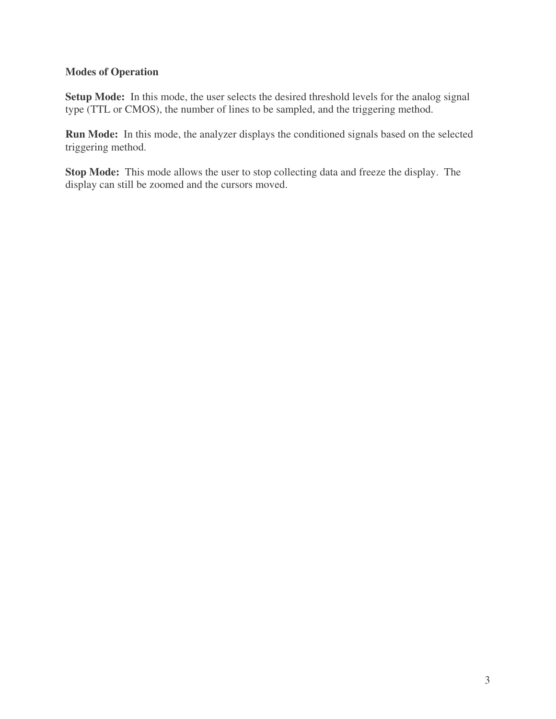## **Modes of Operation**

**Setup Mode:** In this mode, the user selects the desired threshold levels for the analog signal type (TTL or CMOS), the number of lines to be sampled, and the triggering method.

**Run Mode:** In this mode, the analyzer displays the conditioned signals based on the selected triggering method.

**Stop Mode:** This mode allows the user to stop collecting data and freeze the display. The display can still be zoomed and the cursors moved.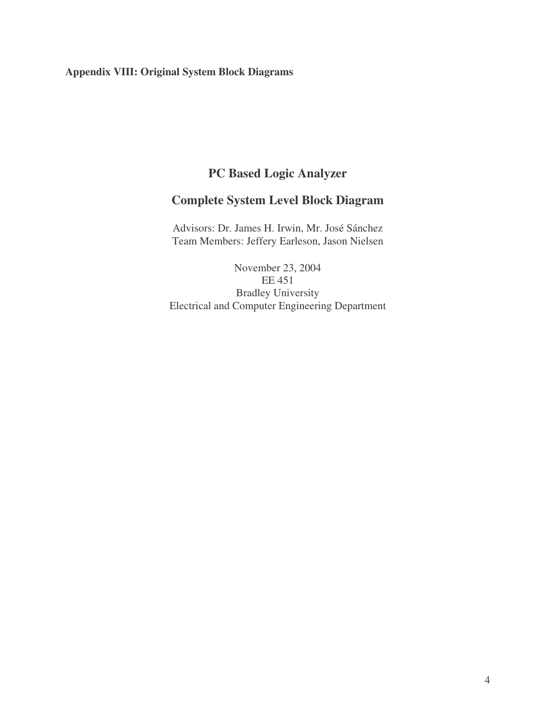# **Appendix VIII: Original System Block Diagrams**

# **PC Based Logic Analyzer**

# **Complete System Level Block Diagram**

Advisors: Dr. James H. Irwin, Mr. José Sánchez Team Members: Jeffery Earleson, Jason Nielsen

November 23, 2004 EE 451 Bradley University Electrical and Computer Engineering Department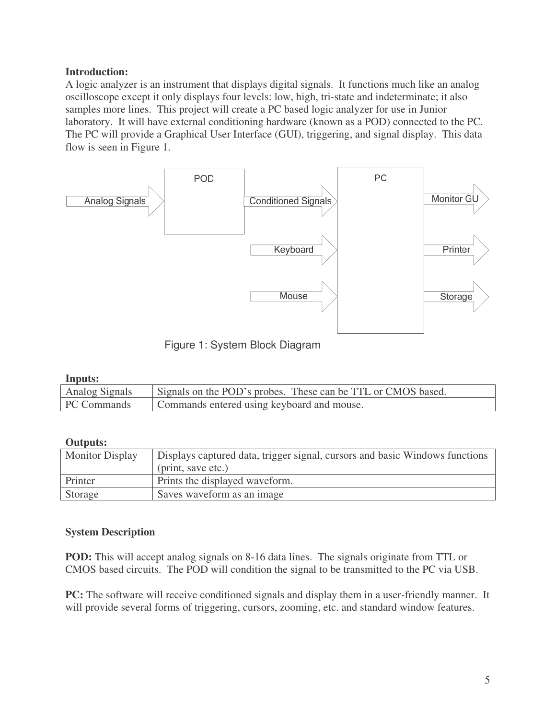## **Introduction:**

A logic analyzer is an instrument that displays digital signals. It functions much like an analog oscilloscope except it only displays four levels: low, high, tri-state and indeterminate; it also samples more lines. This project will create a PC based logic analyzer for use in Junior laboratory. It will have external conditioning hardware (known as a POD) connected to the PC. The PC will provide a Graphical User Interface (GUI), triggering, and signal display. This data flow is seen in Figure 1.



Figure 1: System Block Diagram

#### **Inputs:**

| Analog Signals | Signals on the POD's probes. These can be TTL or CMOS based. |
|----------------|--------------------------------------------------------------|
| PC Commands    | Commands entered using keyboard and mouse.                   |

#### **Outputs:**

| <b>Monitor Display</b> | Displays captured data, trigger signal, cursors and basic Windows functions |
|------------------------|-----------------------------------------------------------------------------|
|                        | (print, save etc.)                                                          |
| Printer                | Prints the displayed waveform.                                              |
| Storage                | Saves waveform as an image                                                  |

#### **System Description**

**POD:** This will accept analog signals on 8-16 data lines. The signals originate from TTL or CMOS based circuits. The POD will condition the signal to be transmitted to the PC via USB.

**PC:** The software will receive conditioned signals and display them in a user-friendly manner. It will provide several forms of triggering, cursors, zooming, etc. and standard window features.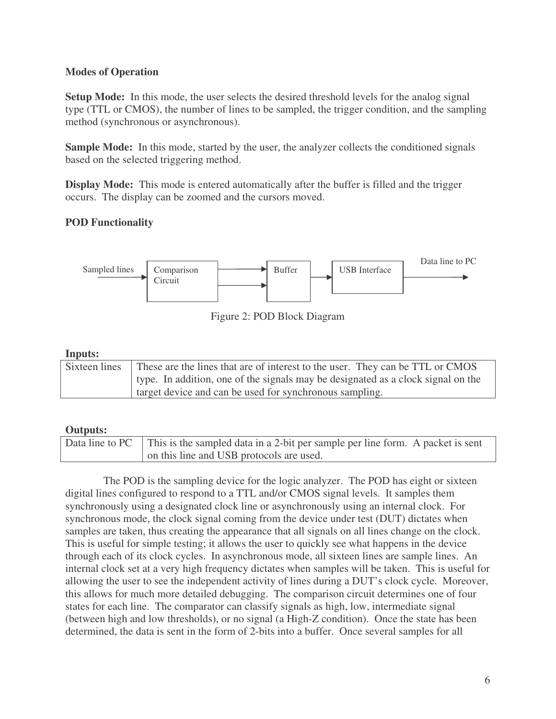## **Modes of Operation**

**Setup Mode:** In this mode, the user selects the desired threshold levels for the analog signal type (TTL or CMOS), the number of lines to be sampled, the trigger condition, and the sampling method (synchronous or asynchronous).

**Sample Mode:** In this mode, started by the user, the analyzer collects the conditioned signals based on the selected triggering method.

**Display Mode:** This mode is entered automatically after the buffer is filled and the trigger occurs. The display can be zoomed and the cursors moved.

# **POD Functionality**



Figure 2: POD Block Diagram

### **Inputs:**

| Sixteen lines | These are the lines that are of interest to the user. They can be TTL or CMOS    |
|---------------|----------------------------------------------------------------------------------|
|               | type. In addition, one of the signals may be designated as a clock signal on the |
|               | target device and can be used for synchronous sampling.                          |

# **Outputs:**

| Data line to PC This is the sampled data in a 2-bit per sample per line form. A packet is sent |
|------------------------------------------------------------------------------------------------|
| on this line and USB protocols are used.                                                       |

The POD is the sampling device for the logic analyzer. The POD has eight or sixteen digital lines configured to respond to a TTL and/or CMOS signal levels. It samples them synchronously using a designated clock line or asynchronously using an internal clock. For synchronous mode, the clock signal coming from the device under test (DUT) dictates when samples are taken, thus creating the appearance that all signals on all lines change on the clock. This is useful for simple testing; it allows the user to quickly see what happens in the device through each of its clock cycles. In asynchronous mode, all sixteen lines are sample lines. An internal clock set at a very high frequency dictates when samples will be taken. This is useful for allowing the user to see the independent activity of lines during a DUT's clock cycle. Moreover, this allows for much more detailed debugging. The comparison circuit determines one of four states for each line. The comparator can classify signals as high, low, intermediate signal (between high and low thresholds), or no signal (a High-Z condition). Once the state has been determined, the data is sent in the form of 2-bits into a buffer. Once several samples for all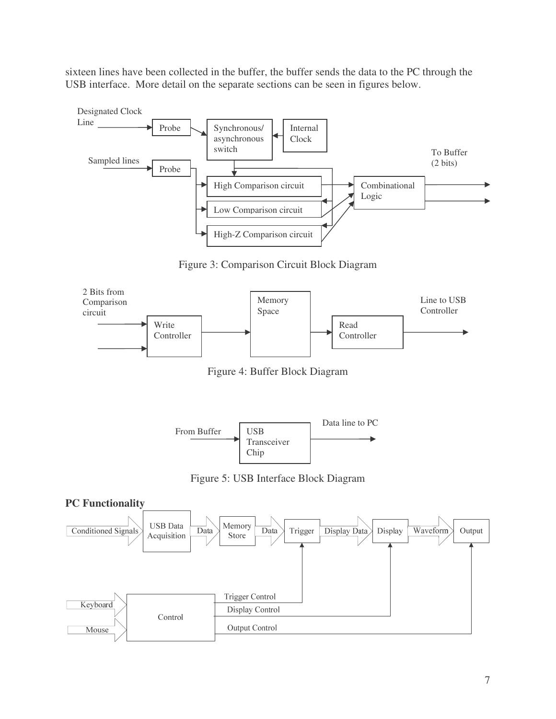sixteen lines have been collected in the buffer, the buffer sends the data to the PC through the USB interface. More detail on the separate sections can be seen in figures below.



Figure 3: Comparison Circuit Block Diagram



Figure 4: Buffer Block Diagram



Figure 5: USB Interface Block Diagram

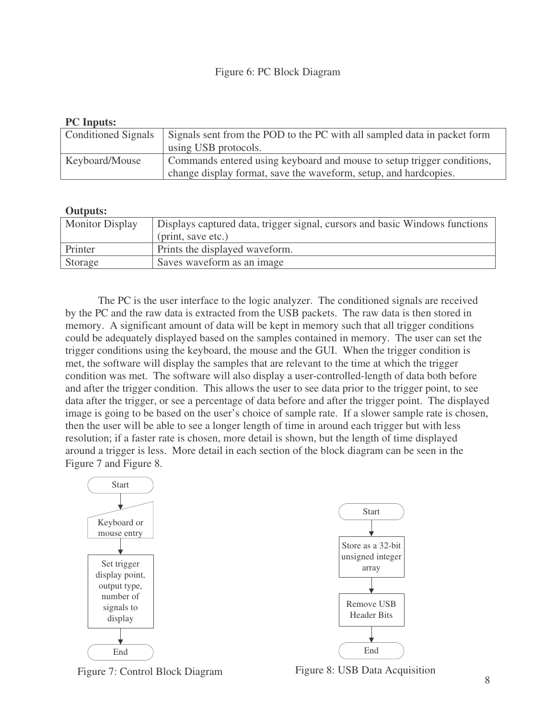#### Figure 6: PC Block Diagram

#### **PC Inputs:**

| <b>Conditioned Signals</b> | Signals sent from the POD to the PC with all sampled data in packet form |
|----------------------------|--------------------------------------------------------------------------|
|                            | using USB protocols.                                                     |
| Keyboard/Mouse             | Commands entered using keyboard and mouse to setup trigger conditions,   |
|                            | change display format, save the waveform, setup, and hardcopies.         |

#### **Outputs:**

| <b>Monitor Display</b> | Displays captured data, trigger signal, cursors and basic Windows functions<br>(print, save etc.) |
|------------------------|---------------------------------------------------------------------------------------------------|
|                        |                                                                                                   |
| Printer                | Prints the displayed waveform.                                                                    |
| Storage                | Saves waveform as an image                                                                        |

The PC is the user interface to the logic analyzer. The conditioned signals are received by the PC and the raw data is extracted from the USB packets. The raw data is then stored in memory. A significant amount of data will be kept in memory such that all trigger conditions could be adequately displayed based on the samples contained in memory. The user can set the trigger conditions using the keyboard, the mouse and the GUI. When the trigger condition is met, the software will display the samples that are relevant to the time at which the trigger condition was met. The software will also display a user-controlled-length of data both before and after the trigger condition. This allows the user to see data prior to the trigger point, to see data after the trigger, or see a percentage of data before and after the trigger point. The displayed image is going to be based on the user's choice of sample rate. If a slower sample rate is chosen, then the user will be able to see a longer length of time in around each trigger but with less resolution; if a faster rate is chosen, more detail is shown, but the length of time displayed around a trigger is less. More detail in each section of the block diagram can be seen in the Figure 7 and Figure 8.





Figure 7: Control Block Diagram Figure 8: USB Data Acquisition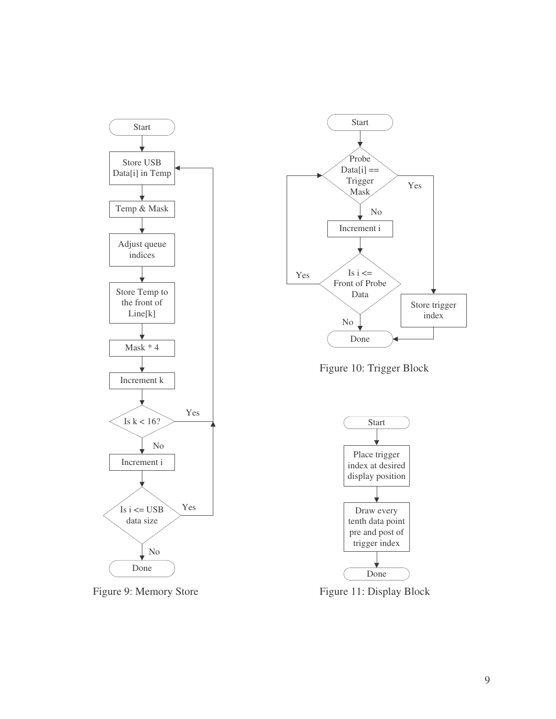

Figure 9: Memory Store



Figure 10: Trigger Block



Figure 11: Display Block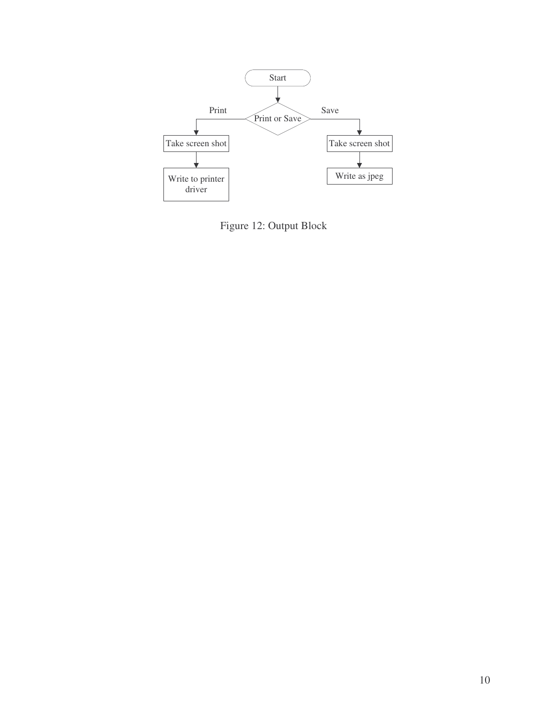

Figure 12: Output Block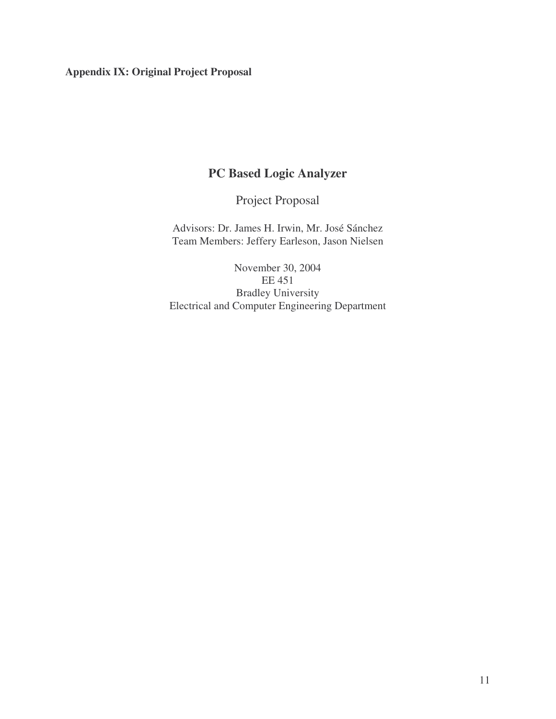# **Appendix IX: Original Project Proposal**

# **PC Based Logic Analyzer**

Project Proposal

Advisors: Dr. James H. Irwin, Mr. José Sánchez Team Members: Jeffery Earleson, Jason Nielsen

November 30, 2004 EE 451 Bradley University Electrical and Computer Engineering Department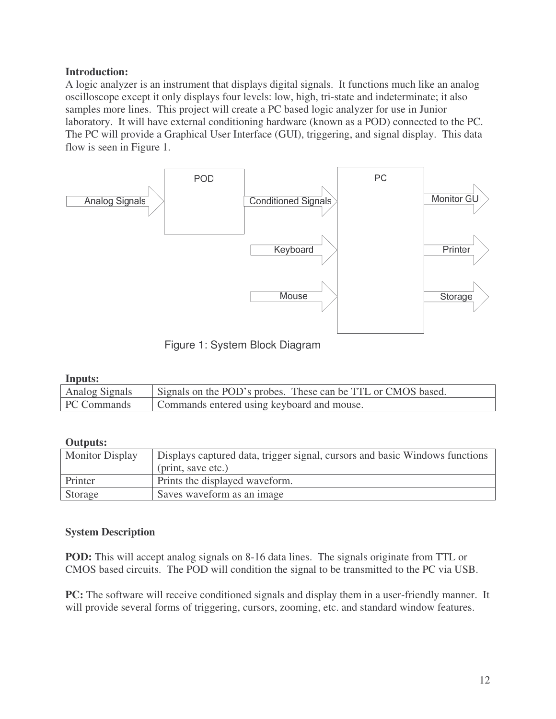## **Introduction:**

A logic analyzer is an instrument that displays digital signals. It functions much like an analog oscilloscope except it only displays four levels: low, high, tri-state and indeterminate; it also samples more lines. This project will create a PC based logic analyzer for use in Junior laboratory. It will have external conditioning hardware (known as a POD) connected to the PC. The PC will provide a Graphical User Interface (GUI), triggering, and signal display. This data flow is seen in Figure 1.



Figure 1: System Block Diagram

#### **Inputs:**

| Analog Signals | Signals on the POD's probes. These can be TTL or CMOS based. |
|----------------|--------------------------------------------------------------|
| PC Commands    | Commands entered using keyboard and mouse.                   |

#### **Outputs:**

| <b>Monitor Display</b> | Displays captured data, trigger signal, cursors and basic Windows functions |
|------------------------|-----------------------------------------------------------------------------|
|                        | (print, save etc.)                                                          |
| Printer                | Prints the displayed waveform.                                              |
| Storage                | Saves waveform as an image                                                  |

#### **System Description**

**POD:** This will accept analog signals on 8-16 data lines. The signals originate from TTL or CMOS based circuits. The POD will condition the signal to be transmitted to the PC via USB.

**PC:** The software will receive conditioned signals and display them in a user-friendly manner. It will provide several forms of triggering, cursors, zooming, etc. and standard window features.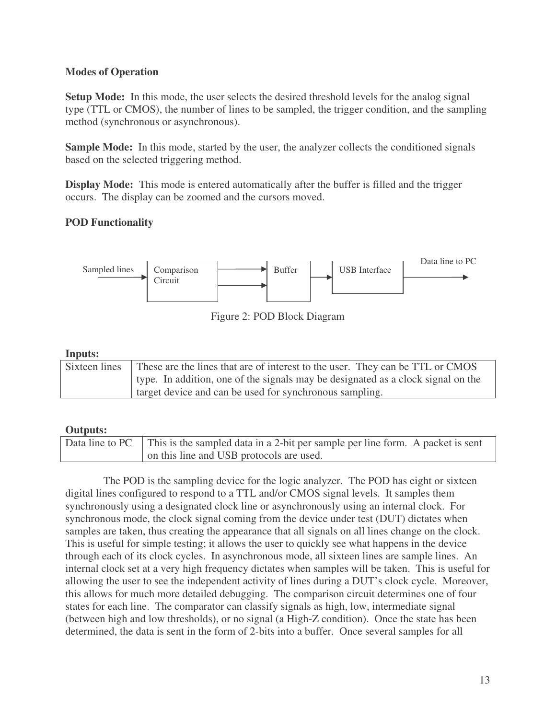## **Modes of Operation**

**Setup Mode:** In this mode, the user selects the desired threshold levels for the analog signal type (TTL or CMOS), the number of lines to be sampled, the trigger condition, and the sampling method (synchronous or asynchronous).

**Sample Mode:** In this mode, started by the user, the analyzer collects the conditioned signals based on the selected triggering method.

**Display Mode:** This mode is entered automatically after the buffer is filled and the trigger occurs. The display can be zoomed and the cursors moved.

# **POD Functionality**



Figure 2: POD Block Diagram

### **Inputs:**

| Sixteen lines | These are the lines that are of interest to the user. They can be TTL or CMOS    |
|---------------|----------------------------------------------------------------------------------|
|               | type. In addition, one of the signals may be designated as a clock signal on the |
|               | target device and can be used for synchronous sampling.                          |

# **Outputs:**

| Data line to PC This is the sampled data in a 2-bit per sample per line form. A packet is sent |
|------------------------------------------------------------------------------------------------|
| on this line and USB protocols are used.                                                       |

The POD is the sampling device for the logic analyzer. The POD has eight or sixteen digital lines configured to respond to a TTL and/or CMOS signal levels. It samples them synchronously using a designated clock line or asynchronously using an internal clock. For synchronous mode, the clock signal coming from the device under test (DUT) dictates when samples are taken, thus creating the appearance that all signals on all lines change on the clock. This is useful for simple testing; it allows the user to quickly see what happens in the device through each of its clock cycles. In asynchronous mode, all sixteen lines are sample lines. An internal clock set at a very high frequency dictates when samples will be taken. This is useful for allowing the user to see the independent activity of lines during a DUT's clock cycle. Moreover, this allows for much more detailed debugging. The comparison circuit determines one of four states for each line. The comparator can classify signals as high, low, intermediate signal (between high and low thresholds), or no signal (a High-Z condition). Once the state has been determined, the data is sent in the form of 2-bits into a buffer. Once several samples for all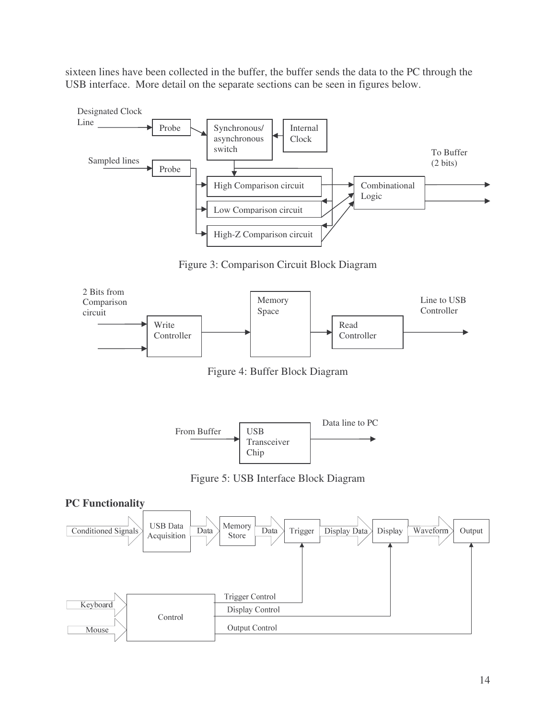sixteen lines have been collected in the buffer, the buffer sends the data to the PC through the USB interface. More detail on the separate sections can be seen in figures below.



Figure 3: Comparison Circuit Block Diagram



Figure 4: Buffer Block Diagram



Figure 5: USB Interface Block Diagram

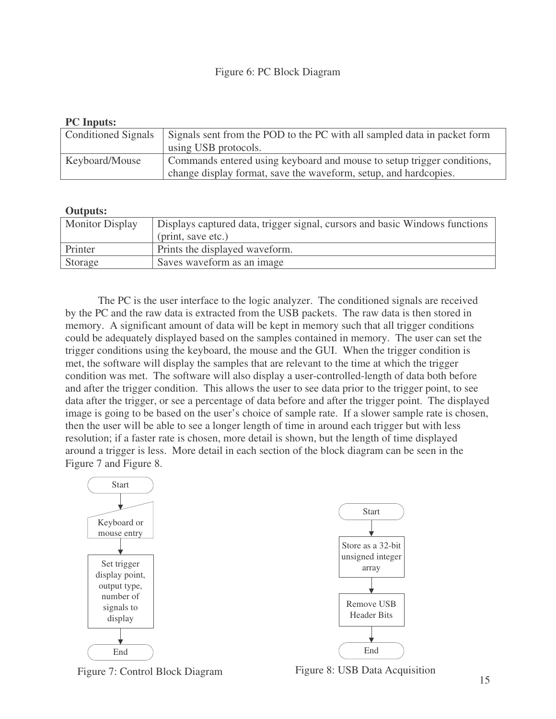#### Figure 6: PC Block Diagram

#### **PC Inputs:**

| <b>Conditioned Signals</b> | Signals sent from the POD to the PC with all sampled data in packet form |
|----------------------------|--------------------------------------------------------------------------|
|                            | using USB protocols.                                                     |
| Keyboard/Mouse             | Commands entered using keyboard and mouse to setup trigger conditions,   |
|                            | change display format, save the waveform, setup, and hardcopies.         |

#### **Outputs:**

| <b>Monitor Display</b> | Displays captured data, trigger signal, cursors and basic Windows functions |
|------------------------|-----------------------------------------------------------------------------|
|                        | (print, save etc.)                                                          |
| Printer                | Prints the displayed waveform.                                              |
| Storage                | Saves waveform as an image                                                  |

The PC is the user interface to the logic analyzer. The conditioned signals are received by the PC and the raw data is extracted from the USB packets. The raw data is then stored in memory. A significant amount of data will be kept in memory such that all trigger conditions could be adequately displayed based on the samples contained in memory. The user can set the trigger conditions using the keyboard, the mouse and the GUI. When the trigger condition is met, the software will display the samples that are relevant to the time at which the trigger condition was met. The software will also display a user-controlled-length of data both before and after the trigger condition. This allows the user to see data prior to the trigger point, to see data after the trigger, or see a percentage of data before and after the trigger point. The displayed image is going to be based on the user's choice of sample rate. If a slower sample rate is chosen, then the user will be able to see a longer length of time in around each trigger but with less resolution; if a faster rate is chosen, more detail is shown, but the length of time displayed around a trigger is less. More detail in each section of the block diagram can be seen in the Figure 7 and Figure 8.





Figure 7: Control Block Diagram Figure 8: USB Data Acquisition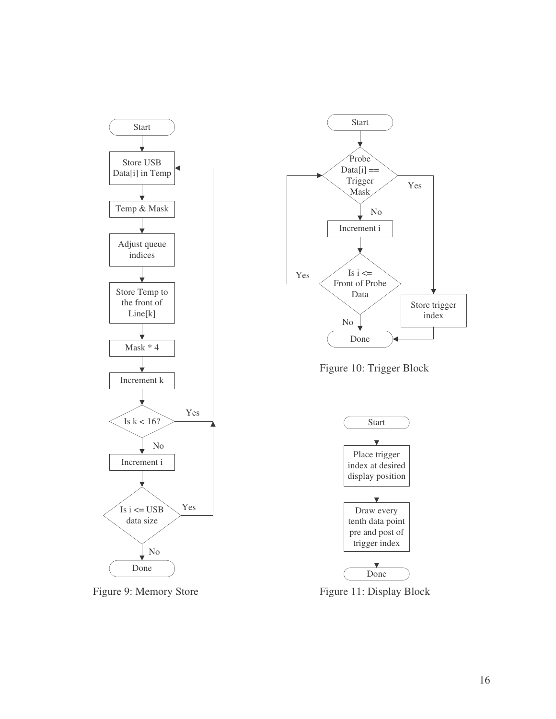

Figure 9: Memory Store



Figure 10: Trigger Block



Figure 11: Display Block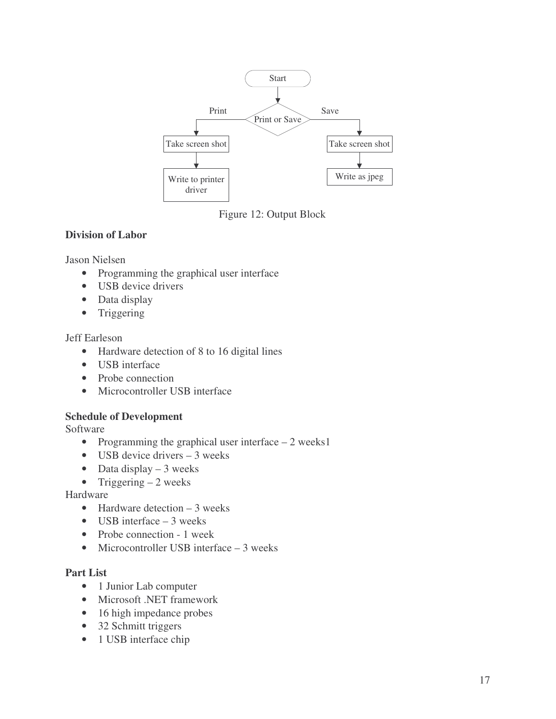

Figure 12: Output Block

## **Division of Labor**

Jason Nielsen

- Programming the graphical user interface
- USB device drivers
- Data display
- Triggering

## Jeff Earleson

- Hardware detection of 8 to 16 digital lines
- USB interface
- Probe connection
- Microcontroller USB interface

## **Schedule of Development**

Software

- Programming the graphical user interface 2 weeks1
- USB device drivers  $-3$  weeks
- Data display  $-3$  weeks
- Triggering  $-2$  weeks

## Hardware

- Hardware detection  $-3$  weeks
- USB interface 3 weeks
- Probe connection 1 week
- Microcontroller USB interface 3 weeks

## **Part List**

- 1 Junior Lab computer
- Microsoft .NET framework
- 16 high impedance probes
- 32 Schmitt triggers
- 1 USB interface chip